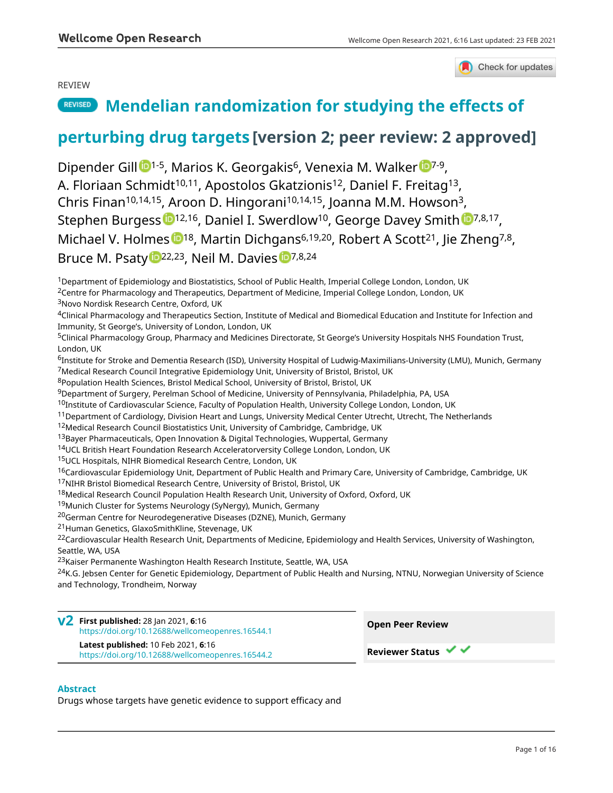## REVIEW



# **REVISED** [Mendelian randomization for studying the effects of](https://wellcomeopenresearch.org/articles/6-16/v2)

# **[perturbing drug targets](https://wellcomeopenresearch.org/articles/6-16/v2) [version 2; peer review: 2 approved]**

Dipender Gi[l](https://orcid.org/0000-0001-7312-7078)l <sup>1-5</sup>, Ma[r](https://orcid.org/0000-0001-5064-446X)ios K. Georgakis<sup>6</sup>, Venexia M. Walker <sup>1-7-9</sup>, A. Floriaan Schmidt<sup>10,11</sup>, Apostolos Gkatzionis<sup>12</sup>, Daniel F. Freitag<sup>13</sup>, Chris Finan10,14,15, Aroon D. Hingorani10,14,15, Joanna M.M. Howson<sup>3</sup>, Stephen Burgess [1](https://orcid.org/0000-0001-5365-8760)<sup>12,16</sup>, Daniel I. Swerdlow<sup>10</sup>, George Davey Smith 17,8,17, Michael V. Holmes 18, Martin Dichgans<sup>6,19,20</sup>, Robert A Scott<sup>21</sup>, Jie Zheng<sup>7,8</sup>, Bruce M. P[s](https://orcid.org/0000-0002-2460-0508)aty <sup>1</sup><sup>22,23</sup>, Neil M. Davies <sup>1</sup><sup>7,8,24</sup>

<sup>1</sup>Department of Epidemiology and Biostatistics, School of Public Health, Imperial College London, London, UK

<sup>2</sup>Centre for Pharmacology and Therapeutics, Department of Medicine, Imperial College London, London, UK <sup>3</sup>Novo Nordisk Research Centre, Oxford, UK

<sup>4</sup>Clinical Pharmacology and Therapeutics Section, Institute of Medical and Biomedical Education and Institute for Infection and Immunity, St George's, University of London, London, UK

<sup>5</sup>Clinical Pharmacology Group, Pharmacy and Medicines Directorate, St George's University Hospitals NHS Foundation Trust, London, UK

<sup>6</sup>Institute for Stroke and Dementia Research (ISD), University Hospital of Ludwig-Maximilians-University (LMU), Munich, Germany <sup>7</sup>Medical Research Council Integrative Epidemiology Unit, University of Bristol, Bristol, UK

<sup>8</sup>Population Health Sciences, Bristol Medical School, University of Bristol, Bristol, UK

<sup>9</sup>Department of Surgery, Perelman School of Medicine, University of Pennsylvania, Philadelphia, PA, USA

<sup>10</sup>Institute of Cardiovascular Science, Faculty of Population Health, University College London, London, UK

 $11$ Department of Cardiology, Division Heart and Lungs, University Medical Center Utrecht, Utrecht, The Netherlands

<sup>12</sup>Medical Research Council Biostatistics Unit, University of Cambridge, Cambridge, UK

<sup>13</sup>Bayer Pharmaceuticals, Open Innovation & Digital Technologies, Wuppertal, Germany

<sup>14</sup>UCL British Heart Foundation Research Acceleratorversity College London, London, UK

<sup>15</sup>UCL Hospitals, NIHR Biomedical Research Centre, London, UK

<sup>16</sup>Cardiovascular Epidemiology Unit, Department of Public Health and Primary Care, University of Cambridge, Cambridge, UK

<sup>17</sup>NIHR Bristol Biomedical Research Centre, University of Bristol, Bristol, UK

<sup>18</sup>Medical Research Council Population Health Research Unit, University of Oxford, Oxford, UK

<sup>19</sup>Munich Cluster for Systems Neurology (SyNergy), Munich, Germany

<sup>20</sup>German Centre for Neurodegenerative Diseases (DZNE), Munich, Germany

<sup>21</sup>Human Genetics, GlaxoSmithKline, Stevenage, UK

<sup>22</sup>Cardiovascular Health Research Unit, Departments of Medicine, Epidemiology and Health Services, University of Washington, Seattle, WA, USA

<sup>23</sup>Kaiser Permanente Washington Health Research Institute, Seattle, WA, USA

<sup>24</sup>K.G. Jebsen Center for Genetic Epidemiology, Department of Public Health and Nursing, NTNU, Norwegian University of Science and Technology, Trondheim, Norway

**First published:** 28 Jan 2021, **6**:16 **v2** <https://doi.org/10.12688/wellcomeopenres.16544.1> **Latest published:** 10 Feb 2021, **6**:16 <https://doi.org/10.12688/wellcomeopenres.16544.2>

**Open Peer Review Reviewer Status ▼** 

### **Abstract**

Drugs whose targets have genetic evidence to support efficacy and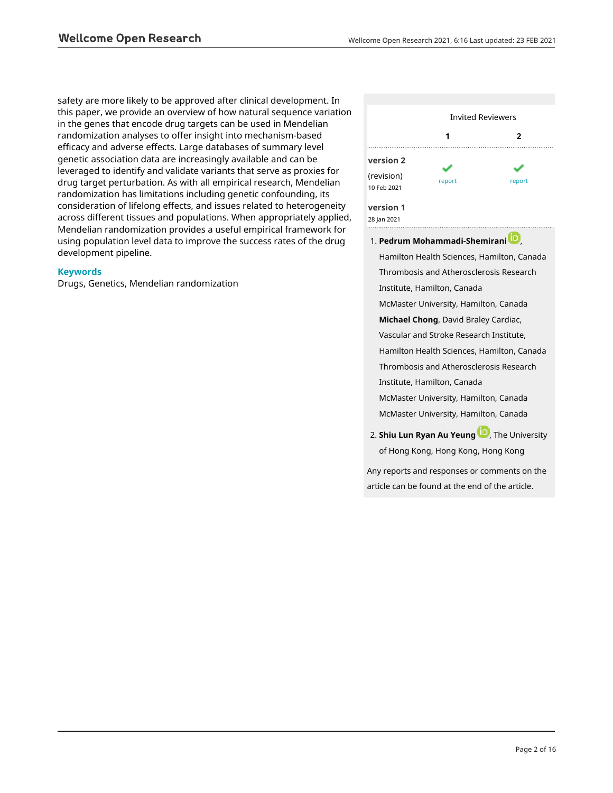safety are more likely to be approved after clinical development. In this paper, we provide an overview of how natural sequence variation in the genes that encode drug targets can be used in Mendelian randomization analyses to offer insight into mechanism-based efficacy and adverse effects. Large databases of summary level genetic association data are increasingly available and can be leveraged to identify and validate variants that serve as proxies for drug target perturbation. As with all empirical research, Mendelian randomization has limitations including genetic confounding, its consideration of lifelong effects, and issues related to heterogeneity across different tissues and populations. When appropriately applied, Mendelian randomization provides a useful empirical framework for using population level data to improve the success rates of the drug development pipeline.

#### **Keywords**

Drugs, Genetics, Mendelian randomization



**Pedrum Mohammadi-Shemiran[i](https://orcid.org/0000-0001-6740-7858)** , 1. Hamilton Health Sciences, Hamilton, Canada Thrombosis and Atherosclerosis Research Institute, Hamilton, Canada McMaster University, Hamilton, Canada **Michael Chong**, David Braley Cardiac, Vascular and Stroke Research Institute, Hamilton Health Sciences, Hamilton, Canada Thrombosis and Atherosclerosis Research Institute, Hamilton, Canada McMaster University, Hamilton, Canada McMaster University, Hamilton, Canada **2. Shiu Lun Ryan Au Yeun[g](https://orcid.org/0000-0001-6136-1836) <b>C**, The University

Any reports and responses or comments on the article can be found at the end of the article.

of Hong Kong, Hong Kong, Hong Kong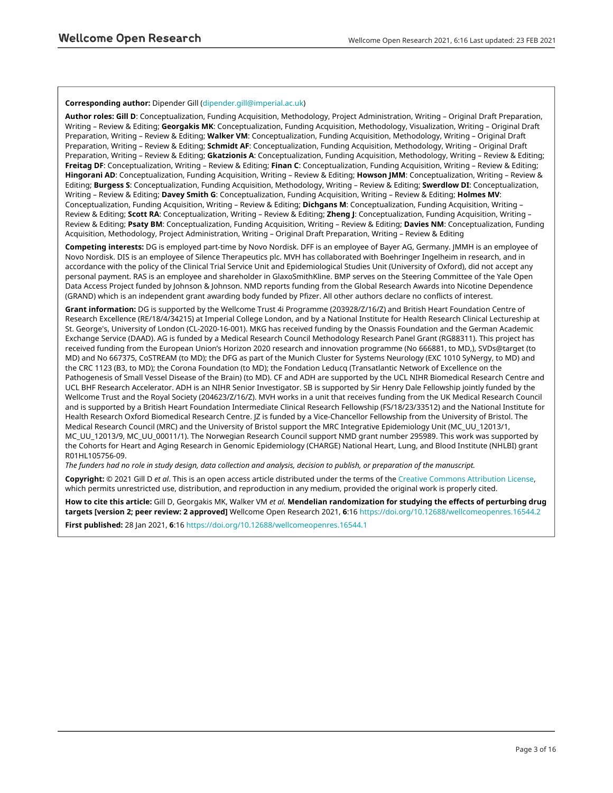#### **Corresponding author:** Dipender Gill ([dipender.gill@imperial.ac.uk](mailto:dipender.gill@imperial.ac.uk))

**Author roles: Gill D**: Conceptualization, Funding Acquisition, Methodology, Project Administration, Writing – Original Draft Preparation, Writing – Review & Editing; **Georgakis MK**: Conceptualization, Funding Acquisition, Methodology, Visualization, Writing – Original Draft Preparation, Writing – Review & Editing; **Walker VM**: Conceptualization, Funding Acquisition, Methodology, Writing – Original Draft Preparation, Writing – Review & Editing; **Schmidt AF**: Conceptualization, Funding Acquisition, Methodology, Writing – Original Draft Preparation, Writing – Review & Editing; **Gkatzionis A**: Conceptualization, Funding Acquisition, Methodology, Writing – Review & Editing; **Freitag DF**: Conceptualization, Writing – Review & Editing; **Finan C**: Conceptualization, Funding Acquisition, Writing – Review & Editing; **Hingorani AD**: Conceptualization, Funding Acquisition, Writing – Review & Editing; **Howson JMM**: Conceptualization, Writing – Review & Editing; **Burgess S**: Conceptualization, Funding Acquisition, Methodology, Writing – Review & Editing; **Swerdlow DI**: Conceptualization, Writing – Review & Editing; **Davey Smith G**: Conceptualization, Funding Acquisition, Writing – Review & Editing; **Holmes MV**: Conceptualization, Funding Acquisition, Writing – Review & Editing; **Dichgans M**: Conceptualization, Funding Acquisition, Writing – Review & Editing; **Scott RA**: Conceptualization, Writing – Review & Editing; **Zheng J**: Conceptualization, Funding Acquisition, Writing – Review & Editing; **Psaty BM**: Conceptualization, Funding Acquisition, Writing – Review & Editing; **Davies NM**: Conceptualization, Funding Acquisition, Methodology, Project Administration, Writing – Original Draft Preparation, Writing – Review & Editing

**Competing interests:** DG is employed part-time by Novo Nordisk. DFF is an employee of Bayer AG, Germany. JMMH is an employee of Novo Nordisk. DIS is an employee of Silence Therapeutics plc. MVH has collaborated with Boehringer Ingelheim in research, and in accordance with the policy of the Clinical Trial Service Unit and Epidemiological Studies Unit (University of Oxford), did not accept any personal payment. RAS is an employee and shareholder in GlaxoSmithKline. BMP serves on the Steering Committee of the Yale Open Data Access Project funded by Johnson & Johnson. NMD reports funding from the Global Research Awards into Nicotine Dependence (GRAND) which is an independent grant awarding body funded by Pfizer. All other authors declare no conflicts of interest.

**Grant information:** DG is supported by the Wellcome Trust 4i Programme (203928/Z/16/Z) and British Heart Foundation Centre of Research Excellence (RE/18/4/34215) at Imperial College London, and by a National Institute for Health Research Clinical Lectureship at St. George's, University of London (CL-2020-16-001). MKG has received funding by the Onassis Foundation and the German Academic Exchange Service (DAAD). AG is funded by a Medical Research Council Methodology Research Panel Grant (RG88311). This project has received funding from the European Union's Horizon 2020 research and innovation programme (No 666881, to MD,), SVDs@target (to MD) and No 667375, CoSTREAM (to MD); the DFG as part of the Munich Cluster for Systems Neurology (EXC 1010 SyNergy, to MD) and the CRC 1123 (B3, to MD); the Corona Foundation (to MD); the Fondation Leducq (Transatlantic Network of Excellence on the Pathogenesis of Small Vessel Disease of the Brain) (to MD). CF and ADH are supported by the UCL NIHR Biomedical Research Centre and UCL BHF Research Accelerator. ADH is an NIHR Senior Investigator. SB is supported by Sir Henry Dale Fellowship jointly funded by the Wellcome Trust and the Royal Society (204623/Z/16/Z). MVH works in a unit that receives funding from the UK Medical Research Council and is supported by a British Heart Foundation Intermediate Clinical Research Fellowship (FS/18/23/33512) and the National Institute for Health Research Oxford Biomedical Research Centre. JZ is funded by a Vice-Chancellor Fellowship from the University of Bristol. The Medical Research Council (MRC) and the University of Bristol support the MRC Integrative Epidemiology Unit (MC\_UU\_12013/1, MC\_UU\_12013/9, MC\_UU\_00011/1). The Norwegian Research Council support NMD grant number 295989. This work was supported by the Cohorts for Heart and Aging Research in Genomic Epidemiology (CHARGE) National Heart, Lung, and Blood Institute (NHLBI) grant R01HL105756-09.

*The funders had no role in study design, data collection and analysis, decision to publish, or preparation of the manuscript.*

**Copyright:** © 2021 Gill D *et al*. This is an open access article distributed under the terms of the [Creative Commons Attribution License](http://creativecommons.org/licenses/by/4.0/), which permits unrestricted use, distribution, and reproduction in any medium, provided the original work is properly cited.

**How to cite this article:** Gill D, Georgakis MK, Walker VM *et al.* **Mendelian randomization for studying the effects of perturbing drug targets [version 2; peer review: 2 approved]** Wellcome Open Research 2021, **6**:16<https://doi.org/10.12688/wellcomeopenres.16544.2>

**First published:** 28 Jan 2021, **6**:16<https://doi.org/10.12688/wellcomeopenres.16544.1>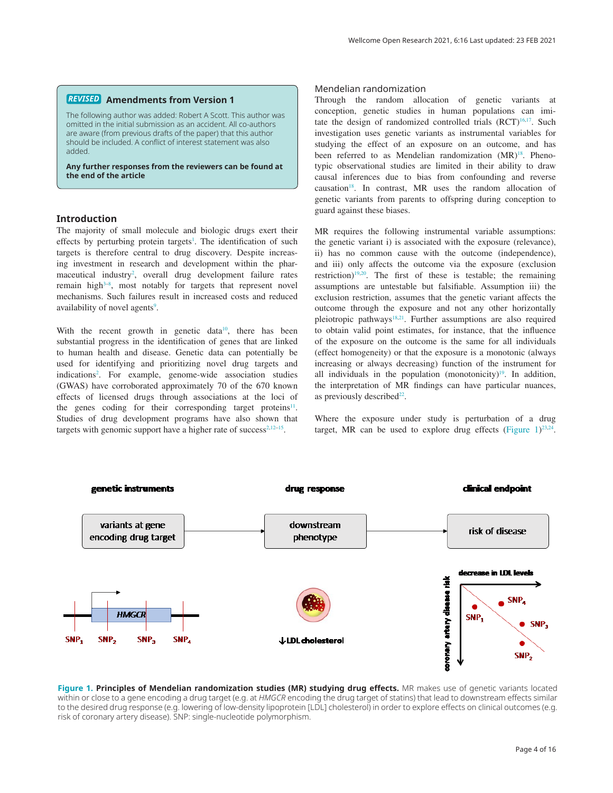#### **Amendments from Version 1** *REVISED*

The following author was added: Robert A Scott. This author was omitted in the initial submission as an accident. All co-authors are aware (from previous drafts of the paper) that this author should be included. A conflict of interest statement was also added.

**Any further responses from the reviewers can be found at the end of the article**

#### **Introduction**

The majority of small molecule and biologic drugs exert their effects by perturbing protein targets<sup>[1](#page-8-0)</sup>. The identification of such targets is therefore central to drug discovery. Despite increasing investment in research and development within the phar-maceutical industry<sup>[2](#page-8-0)</sup>, overall drug development failure rates remain high<sup>3–8</sup>, most notably for targets that represent novel mechanisms. Such failures result in increased costs and reduced availability of novel agents<sup>[9](#page-8-0)</sup>.

With the recent growth in genetic data<sup>10</sup>, there has been substantial progress in the identification of genes that are linked to human health and disease. Genetic data can potentially be used for identifying and prioritizing novel drug targets and indication[s2](#page-8-0) . For example, genome-wide association studies (GWAS) have corroborated approximately 70 of the 670 known effects of licensed drugs through associations at the loci of the genes coding for their corresponding target proteins<sup>[11](#page-8-0)</sup>. Studies of drug development programs have also shown that targets with genomic support have a higher rate of success<sup>2,12–15</sup>.

#### Mendelian randomization

Through the random allocation of genetic variants at conception, genetic studies in human populations can imitate the design of randomized controlled trials  $(RCT)^{16,17}$ . Such investigation uses genetic variants as instrumental variables for studying the effect of an exposure on an outcome, and has been referred to as Mendelian randomization (MR)<sup>18</sup>. Phenotypic observational studies are limited in their ability to draw causal inferences due to bias from confounding and reverse causation<sup>18</sup>. In contrast, MR uses the random allocation of genetic variants from parents to offspring during conception to guard against these biases.

MR requires the following instrumental variable assumptions: the genetic variant i) is associated with the exposure (relevance), ii) has no common cause with the outcome (independence), and iii) only affects the outcome via the exposure (exclusion restriction)<sup>19,20</sup>. The first of these is testable; the remaining assumptions are untestable but falsifiable. Assumption iii) the exclusion restriction, assumes that the genetic variant affects the outcome through the exposure and not any other horizontally pleiotropic pathways<sup>18,21</sup>. Further assumptions are also required to obtain valid point estimates, for instance, that the influence of the exposure on the outcome is the same for all individuals (effect homogeneity) or that the exposure is a monotonic (always increasing or always decreasing) function of the instrument for all individuals in the population (monotonicity) $19$ . In addition, the interpretation of MR findings can have particular nuances, as previously described $22$ .

Where the exposure under study is perturbation of a drug target, MR can be used to explore drug effects (Figure  $1)^{23,24}$  $1)^{23,24}$  $1)^{23,24}$ .



**Figure 1. Principles of Mendelian randomization studies (MR) studying drug effects.** MR makes use of genetic variants located within or close to a gene encoding a drug target (e.g. at *HMGCR* encoding the drug target of statins) that lead to downstream effects similar to the desired drug response (e.g. lowering of low-density lipoprotein [LDL] cholesterol) in order to explore effects on clinical outcomes (e.g. risk of coronary artery disease). SNP: single-nucleotide polymorphism.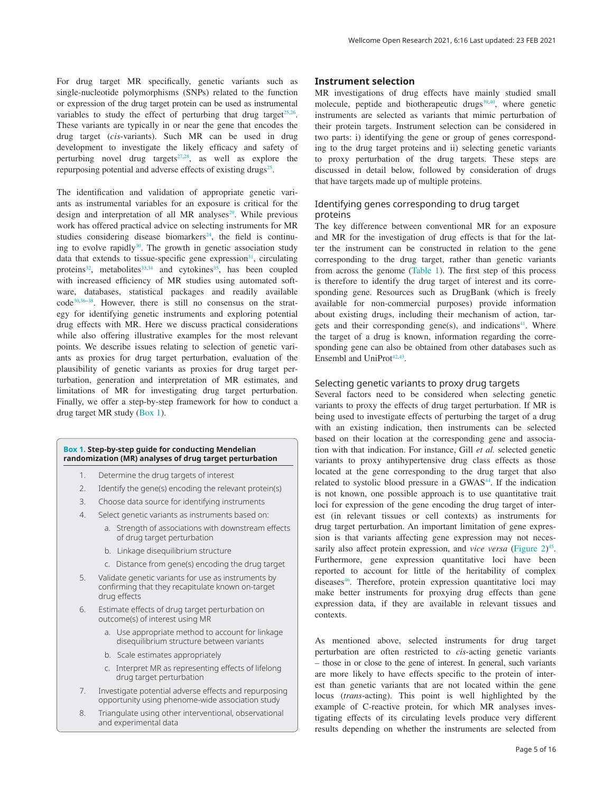For drug target MR specifically, genetic variants such as single-nucleotide polymorphisms (SNPs) related to the function or expression of the drug target protein can be used as instrumental variables to study the effect of perturbing that drug target<sup> $25,26$ </sup>. These variants are typically in or near the gene that encodes the drug target (*cis*-variants). Such MR can be used in drug development to investigate the likely efficacy and safety of perturbing novel drug targets<sup>27,28</sup>, as well as explore the repurposing potential and adverse effects of existing drugs<sup>[25](#page-9-0)</sup>.

The identification and validation of appropriate genetic variants as instrumental variables for an exposure is critical for the design and interpretation of all MR analyses<sup>[29](#page-9-0)</sup>. While previous work has offered practical advice on selecting instruments for MR studies considering disease biomarkers<sup>[24](#page-9-0)</sup>, the field is continuing to evolve rapidly<sup>30</sup>. The growth in genetic association study data that extends to tissue-specific gene expression $31$ , circulating proteins<sup>32</sup>, metabolites<sup>33,34</sup> and cytokines<sup>35</sup>, has been coupled with increased efficiency of MR studies using automated software, databases, statistical packages and readily available code[30,36–38](#page-9-0). However, there is still no consensus on the strategy for identifying genetic instruments and exploring potential drug effects with MR. Here we discuss practical considerations while also offering illustrative examples for the most relevant points. We describe issues relating to selection of genetic variants as proxies for drug target perturbation, evaluation of the plausibility of genetic variants as proxies for drug target perturbation, generation and interpretation of MR estimates, and limitations of MR for investigating drug target perturbation. Finally, we offer a step-by-step framework for how to conduct a drug target MR study (Box 1).

#### **Box 1. Step-by-step guide for conducting Mendelian randomization (MR) analyses of drug target perturbation**

- 1. Determine the drug targets of interest
- 2. Identify the gene(s) encoding the relevant protein(s)
- 3. Choose data source for identifying instruments
- 4. Select genetic variants as instruments based on:
	- a. Strength of associations with downstream effects of drug target perturbation
	- b. Linkage disequilibrium structure
	- c. Distance from gene(s) encoding the drug target
- 5. Validate genetic variants for use as instruments by confirming that they recapitulate known on-target drug effects
- 6. Estimate effects of drug target perturbation on outcome(s) of interest using MR
	- a. Use appropriate method to account for linkage disequilibrium structure between variants
	- b. Scale estimates appropriately
	- c. Interpret MR as representing effects of lifelong drug target perturbation
- 7. Investigate potential adverse effects and repurposing opportunity using phenome-wide association study
- 8. Triangulate using other interventional, observational and experimental data

#### **Instrument selection**

MR investigations of drug effects have mainly studied small molecule, peptide and biotherapeutic drugs<sup>[39,40](#page-9-0)</sup>, where genetic instruments are selected as variants that mimic perturbation of their protein targets. Instrument selection can be considered in two parts: i) identifying the gene or group of genes corresponding to the drug target proteins and ii) selecting genetic variants to proxy perturbation of the drug targets. These steps are discussed in detail below, followed by consideration of drugs that have targets made up of multiple proteins.

#### Identifying genes corresponding to drug target proteins

The key difference between conventional MR for an exposure and MR for the investigation of drug effects is that for the latter the instrument can be constructed in relation to the gene corresponding to the drug target, rather than genetic variants from across the genome [\(Table 1](#page-5-0)). The first step of this process is therefore to identify the drug target of interest and its corresponding gene. Resources such as DrugBank (which is freely available for non-commercial purposes) provide information about existing drugs, including their mechanism of action, targets and their corresponding gene(s), and indications $41$ . Where the target of a drug is known, information regarding the corresponding gene can also be obtained from other databases such as Ensembl and UniProt $42,43$ .

#### Selecting genetic variants to proxy drug targets

Several factors need to be considered when selecting genetic variants to proxy the effects of drug target perturbation. If MR is being used to investigate effects of perturbing the target of a drug with an existing indication, then instruments can be selected based on their location at the corresponding gene and association with that indication. For instance, Gill *et al.* selected genetic variants to proxy antihypertensive drug class effects as those located at the gene corresponding to the drug target that also related to systolic blood pressure in a GWAS<sup>44</sup>. If the indication is not known, one possible approach is to use quantitative trait loci for expression of the gene encoding the drug target of interest (in relevant tissues or cell contexts) as instruments for drug target perturbation. An important limitation of gene expression is that variants affecting gene expression may not necessarily also affect protein expression, and *vice versa* ([Figure 2](#page-5-0))<sup>[45](#page-9-0)</sup>. Furthermore, gene expression quantitative loci have been reported to account for little of the heritability of complex diseases<sup>46</sup>. Therefore, protein expression quantitative loci may make better instruments for proxying drug effects than gene expression data, if they are available in relevant tissues and contexts.

As mentioned above, selected instruments for drug target perturbation are often restricted to *cis*-acting genetic variants – those in or close to the gene of interest. In general, such variants are more likely to have effects specific to the protein of interest than genetic variants that are not located within the gene locus (*trans*-acting). This point is well highlighted by the example of C-reactive protein, for which MR analyses investigating effects of its circulating levels produce very different results depending on whether the instruments are selected from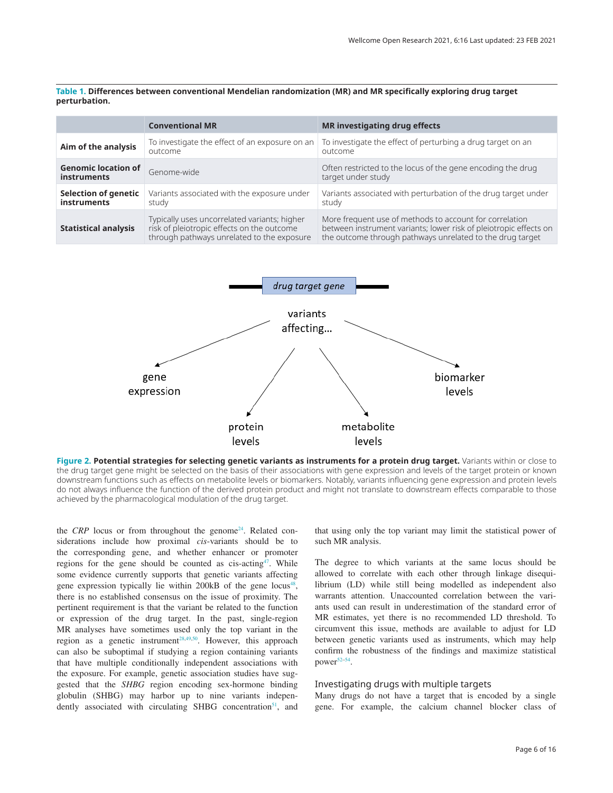<span id="page-5-0"></span>**Table 1. Differences between conventional Mendelian randomization (MR) and MR specifically exploring drug target perturbation.**

|                                                  | <b>Conventional MR</b>                                                                                                                   | <b>MR</b> investigating drug effects                                                                                                                                                      |
|--------------------------------------------------|------------------------------------------------------------------------------------------------------------------------------------------|-------------------------------------------------------------------------------------------------------------------------------------------------------------------------------------------|
| Aim of the analysis                              | To investigate the effect of an exposure on an<br>outcome                                                                                | To investigate the effect of perturbing a drug target on an<br>outcome                                                                                                                    |
| <b>Genomic location of</b><br><b>instruments</b> | Genome-wide                                                                                                                              | Often restricted to the locus of the gene encoding the drug<br>target under study                                                                                                         |
| <b>Selection of genetic</b><br>instruments       | Variants associated with the exposure under<br>study                                                                                     | Variants associated with perturbation of the drug target under<br>study                                                                                                                   |
| <b>Statistical analysis</b>                      | Typically uses uncorrelated variants; higher<br>risk of pleiotropic effects on the outcome<br>through pathways unrelated to the exposure | More frequent use of methods to account for correlation<br>between instrument variants; lower risk of pleiotropic effects on<br>the outcome through pathways unrelated to the drug target |



**Figure 2. Potential strategies for selecting genetic variants as instruments for a protein drug target.** Variants within or close to the drug target gene might be selected on the basis of their associations with gene expression and levels of the target protein or known downstream functions such as effects on metabolite levels or biomarkers. Notably, variants influencing gene expression and protein levels do not always influence the function of the derived protein product and might not translate to downstream effects comparable to those achieved by the pharmacological modulation of the drug target.

the *CRP* locus or from throughout the genome<sup>[24](#page-9-0)</sup>. Related considerations include how proximal *cis*-variants should be to the corresponding gene, and whether enhancer or promoter regions for the gene should be counted as  $cis\text{-}acting^{47}$ . While some evidence currently supports that genetic variants affecting gene expression typically lie within 200kB of the gene locus<sup>48</sup>, there is no established consensus on the issue of proximity. The pertinent requirement is that the variant be related to the function or expression of the drug target. In the past, single-region MR analyses have sometimes used only the top variant in the region as a genetic instrument<sup>28,49,50</sup>. However, this approach can also be suboptimal if studying a region containing variants that have multiple conditionally independent associations with the exposure. For example, genetic association studies have suggested that the *SHBG* region encoding sex-hormone binding globulin (SHBG) may harbor up to nine variants independently associated with circulating SHBG concentration<sup>51</sup>, and that using only the top variant may limit the statistical power of such MR analysis.

The degree to which variants at the same locus should be allowed to correlate with each other through linkage disequilibrium (LD) while still being modelled as independent also warrants attention. Unaccounted correlation between the variants used can result in underestimation of the standard error of MR estimates, yet there is no recommended LD threshold. To circumvent this issue, methods are available to adjust for LD between genetic variants used as instruments, which may help confirm the robustness of the findings and maximize statistical power[52–54](#page-9-0).

#### Investigating drugs with multiple targets

Many drugs do not have a target that is encoded by a single gene. For example, the calcium channel blocker class of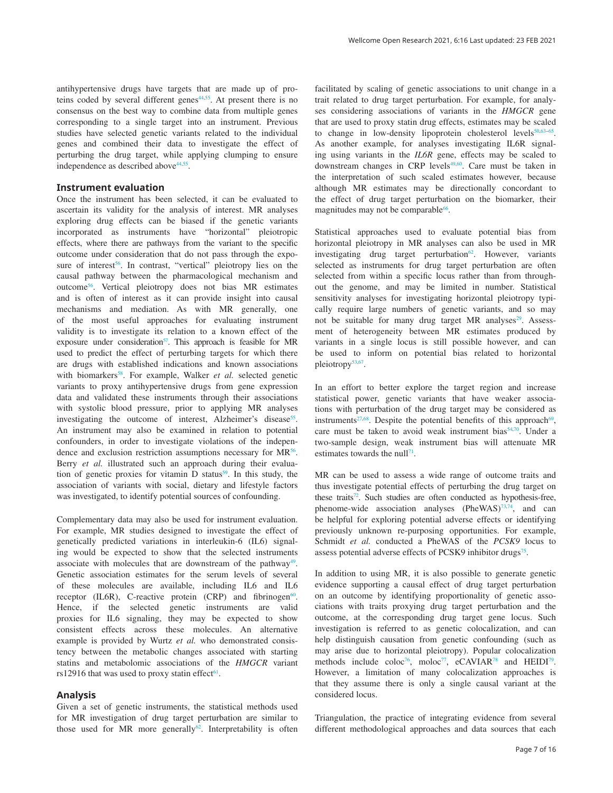antihypertensive drugs have targets that are made up of proteins coded by several different genes<sup>44,55</sup>. At present there is no consensus on the best way to combine data from multiple genes corresponding to a single target into an instrument. Previous studies have selected genetic variants related to the individual genes and combined their data to investigate the effect of perturbing the drug target, while applying clumping to ensure independence as described above<sup>44,55</sup>.

#### **Instrument evaluation**

Once the instrument has been selected, it can be evaluated to ascertain its validity for the analysis of interest. MR analyses exploring drug effects can be biased if the genetic variants incorporated as instruments have "horizontal" pleiotropic effects, where there are pathways from the variant to the specific outcome under consideration that do not pass through the exposure of interest<sup>56</sup>. In contrast, "vertical" pleiotropy lies on the causal pathway between the pharmacological mechanism and outcome[56.](#page-9-0) Vertical pleiotropy does not bias MR estimates and is often of interest as it can provide insight into causal mechanisms and mediation. As with MR generally, one of the most useful approaches for evaluating instrument validity is to investigate its relation to a known effect of the exposure under consideration<sup>57</sup>. This approach is feasible for MR used to predict the effect of perturbing targets for which there are drugs with established indications and known associations with biomarkers<sup>58</sup>. For example, Walker *et al.* selected genetic variants to proxy antihypertensive drugs from gene expression data and validated these instruments through their associations with systolic blood pressure, prior to applying MR analyses investigating the outcome of interest, Alzheimer's disease<sup>55</sup>. An instrument may also be examined in relation to potential confounders, in order to investigate violations of the independence and exclusion restriction assumptions necessary for MR<sup>56</sup>. Berry *et al.* illustrated such an approach during their evaluation of genetic proxies for vitamin  $D$  status<sup>59</sup>. In this study, the association of variants with social, dietary and lifestyle factors was investigated, to identify potential sources of confounding.

Complementary data may also be used for instrument evaluation. For example, MR studies designed to investigate the effect of genetically predicted variations in interleukin-6 (IL6) signaling would be expected to show that the selected instruments associate with molecules that are downstream of the pathway<sup>49</sup>. Genetic association estimates for the serum levels of several of these molecules are available, including IL6 and IL6 receptor (IL6R), C-reactive protein (CRP) and fibrinogen $60$ . Hence, if the selected genetic instruments are valid proxies for IL6 signaling, they may be expected to show consistent effects across these molecules. An alternative example is provided by Wurtz *et al.* who demonstrated consistency between the metabolic changes associated with starting statins and metabolomic associations of the *HMGCR* variant rs12916 that was used to proxy statin effect<sup>61</sup>.

#### **Analysis**

Given a set of genetic instruments, the statistical methods used for MR investigation of drug target perturbation are similar to those used for MR more generally<sup>62</sup>. Interpretability is often

facilitated by scaling of genetic associations to unit change in a trait related to drug target perturbation. For example, for analyses considering associations of variants in the *HMGCR* gene that are used to proxy statin drug effects, estimates may be scaled to change in low-density lipoprotein cholesterol levels<sup>50,63-65</sup>. As another example, for analyses investigating IL6R signaling using variants in the *IL6R* gene, effects may be scaled to downstream changes in CRP levels<sup>49,60</sup>. Care must be taken in the interpretation of such scaled estimates however, because although MR estimates may be directionally concordant to the effect of drug target perturbation on the biomarker, their magnitudes may not be comparable<sup>66</sup>.

Statistical approaches used to evaluate potential bias from horizontal pleiotropy in MR analyses can also be used in MR investigating drug target perturbation $62$ . However, variants selected as instruments for drug target perturbation are often selected from within a specific locus rather than from throughout the genome, and may be limited in number. Statistical sensitivity analyses for investigating horizontal pleiotropy typically require large numbers of genetic variants, and so may not be suitable for many drug target MR analyses<sup>[29](#page-9-0)</sup>. Assessment of heterogeneity between MR estimates produced by variants in a single locus is still possible however, and can be used to inform on potential bias related to horizontal pleiotropy<sup>[53,67](#page-9-0)</sup>.

In an effort to better explore the target region and increase statistical power, genetic variants that have weaker associations with perturbation of the drug target may be considered as instruments<sup>[27](#page-9-0)[,68](#page-10-0)</sup>. Despite the potential benefits of this approach<sup>69</sup>, care must be taken to avoid weak instrument bias<sup>[54](#page-9-0),70</sup>. Under a two-sample design, weak instrument bias will attenuate MR estimates towards the null<sup>71</sup>.

MR can be used to assess a wide range of outcome traits and thus investigate potential effects of perturbing the drug target on these traits $72$ . Such studies are often conducted as hypothesis-free, phenome-wide association analyses (PheWAS)<sup>73,74</sup>, and can be helpful for exploring potential adverse effects or identifying previously unknown re-purposing opportunities. For example, Schmidt *et al.* conducted a PheWAS of the *PCSK9* locus to assess potential adverse effects of PCSK9 inhibitor drugs<sup>75</sup>.

In addition to using MR, it is also possible to generate genetic evidence supporting a causal effect of drug target perturbation on an outcome by identifying proportionality of genetic associations with traits proxying drug target perturbation and the outcome, at the corresponding drug target gene locus. Such investigation is referred to as genetic colocalization, and can help distinguish causation from genetic confounding (such as may arise due to horizontal pleiotropy). Popular colocalization methods include coloc<sup>76</sup>, moloc<sup>[77](#page-10-0)</sup>, eCAVIAR<sup>78</sup> and HEIDI<sup>79</sup>. However, a limitation of many colocalization approaches is that they assume there is only a single causal variant at the considered locus.

Triangulation, the practice of integrating evidence from several different methodological approaches and data sources that each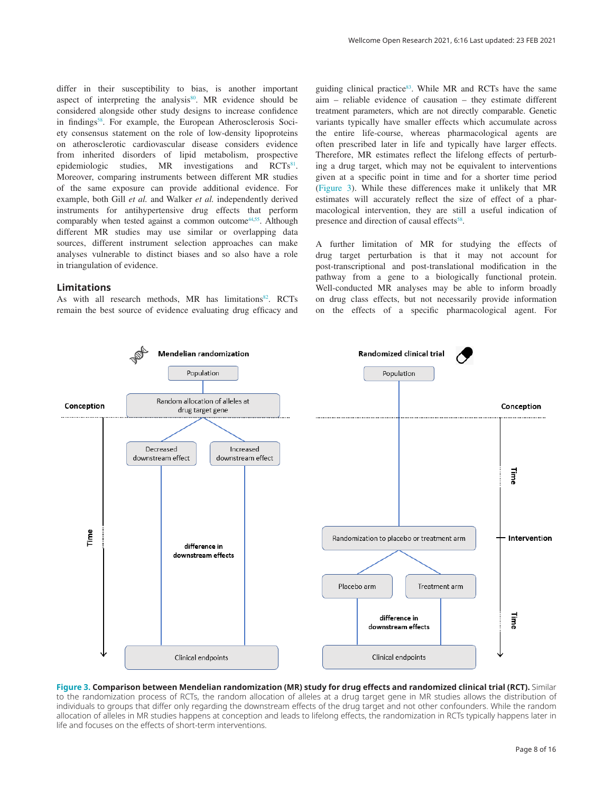differ in their susceptibility to bias, is another important aspect of interpreting the analysis $80$ . MR evidence should be considered alongside other study designs to increase confidence in findings<sup>58</sup>. For example, the European Atherosclerosis Society consensus statement on the role of low-density lipoproteins on atherosclerotic cardiovascular disease considers evidence from inherited disorders of lipid metabolism, prospective epidemiologic studies, MR investigations and  $\text{RCTs}^{\text{81}}$ . Moreover, comparing instruments between different MR studies of the same exposure can provide additional evidence. For example, both Gill *et al.* and Walker *et al.* independently derived instruments for antihypertensive drug effects that perform comparably when tested against a common outcome<sup>44,55</sup>. Although different MR studies may use similar or overlapping data sources, different instrument selection approaches can make analyses vulnerable to distinct biases and so also have a role in triangulation of evidence.

#### **Limitations**

As with all research methods, MR has limitations<sup>[82](#page-10-0)</sup>. RCTs remain the best source of evidence evaluating drug efficacy and

guiding clinical practice $83$ . While MR and RCTs have the same aim – reliable evidence of causation – they estimate different treatment parameters, which are not directly comparable. Genetic variants typically have smaller effects which accumulate across the entire life-course, whereas pharmacological agents are often prescribed later in life and typically have larger effects. Therefore, MR estimates reflect the lifelong effects of perturbing a drug target, which may not be equivalent to interventions given at a specific point in time and for a shorter time period (Figure 3). While these differences make it unlikely that MR estimates will accurately reflect the size of effect of a pharmacological intervention, they are still a useful indication of presence and direction of causal effects<sup>[58](#page-9-0)</sup>.

A further limitation of MR for studying the effects of drug target perturbation is that it may not account for post-transcriptional and post-translational modification in the pathway from a gene to a biologically functional protein. Well-conducted MR analyses may be able to inform broadly on drug class effects, but not necessarily provide information on the effects of a specific pharmacological agent. For



#### **Figure 3. Comparison between Mendelian randomization (MR) study for drug effects and randomized clinical trial (RCT).** Similar to the randomization process of RCTs, the random allocation of alleles at a drug target gene in MR studies allows the distribution of individuals to groups that differ only regarding the downstream effects of the drug target and not other confounders. While the random allocation of alleles in MR studies happens at conception and leads to lifelong effects, the randomization in RCTs typically happens later in life and focuses on the effects of short-term interventions.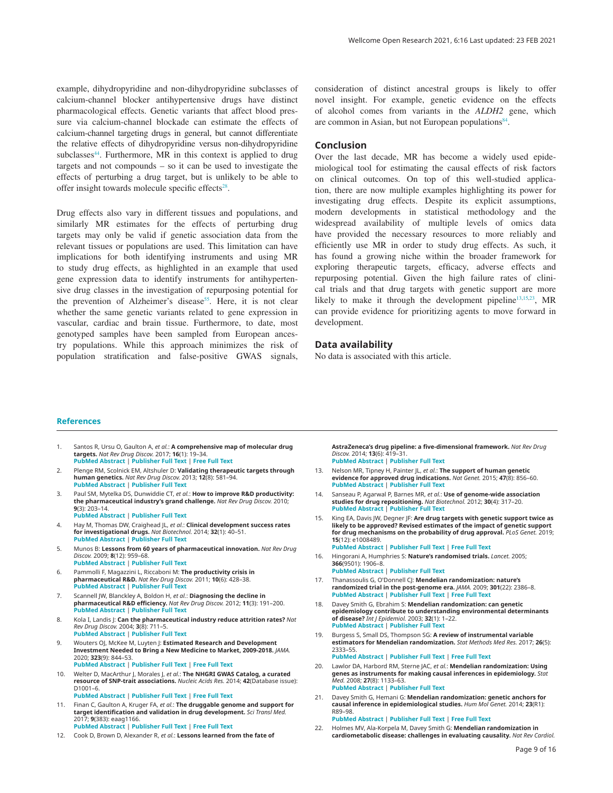<span id="page-8-0"></span>example, dihydropyridine and non-dihydropyridine subclasses of calcium-channel blocker antihypertensive drugs have distinct pharmacological effects. Genetic variants that affect blood pressure via calcium-channel blockade can estimate the effects of calcium-channel targeting drugs in general, but cannot differentiate the relative effects of dihydropyridine versus non-dihydropyridine subclasses<sup>44</sup>. Furthermore, MR in this context is applied to drug targets and not compounds – so it can be used to investigate the effects of perturbing a drug target, but is unlikely to be able to offer insight towards molecule specific effects $28$ .

Drug effects also vary in different tissues and populations, and similarly MR estimates for the effects of perturbing drug targets may only be valid if genetic association data from the relevant tissues or populations are used. This limitation can have implications for both identifying instruments and using MR to study drug effects, as highlighted in an example that used gene expression data to identify instruments for antihypertensive drug classes in the investigation of repurposing potential for the prevention of Alzheimer's disease<sup>[55](#page-9-0)</sup>. Here, it is not clear whether the same genetic variants related to gene expression in vascular, cardiac and brain tissue. Furthermore, to date, most genotyped samples have been sampled from European ancestry populations. While this approach minimizes the risk of population stratification and false-positive GWAS signals,

consideration of distinct ancestral groups is likely to offer novel insight. For example, genetic evidence on the effects of alcohol comes from variants in the *ALDH2* gene, which are common in Asian, but not European populations $84$ .

#### **Conclusion**

Over the last decade, MR has become a widely used epidemiological tool for estimating the causal effects of risk factors on clinical outcomes. On top of this well-studied application, there are now multiple examples highlighting its power for investigating drug effects. Despite its explicit assumptions, modern developments in statistical methodology and the widespread availability of multiple levels of omics data have provided the necessary resources to more reliably and efficiently use MR in order to study drug effects. As such, it has found a growing niche within the broader framework for exploring therapeutic targets, efficacy, adverse effects and repurposing potential. Given the high failure rates of clinical trials and that drug targets with genetic support are more likely to make it through the development pipeline<sup>13,15[,23](#page-9-0)</sup>, MR can provide evidence for prioritizing agents to move forward in development.

#### **Data availability**

No data is associated with this article.

#### **References**

- 1. Santos R, Ursu O, Gaulton A, *et al.*: **A comprehensive map of molecular drug targets.** *Nat Rev Drug Discov.* 2017; **16**(1): 19–34. **[PubMed Abstract](http://www.ncbi.nlm.nih.gov/pubmed/27910877)** | **[Publisher Full Text](http://dx.doi.org/10.1038/nrd.2016.230)** | **[Free Full Text](http://www.ncbi.nlm.nih.gov/pmc/articles/6314433)**
- 2. Plenge RM, Scolnick EM, Altshuler D: **Validating therapeutic targets through human genetics.** *Nat Rev Drug Discov.* 2013; **12**(8): 581–94. **[PubMed Abstract](http://www.ncbi.nlm.nih.gov/pubmed/23868113)** | **[Publisher Full Text](http://dx.doi.org/10.1038/nrd4051)**
- 3. Paul SM, Mytelka DS, Dunwiddie CT, *et al.*: **How to improve R&D productivity: the pharmaceutical industry's grand challenge.** *Nat Rev Drug Discov.* 2010; **9**(3): 203–14. **[PubMed Abstract](http://www.ncbi.nlm.nih.gov/pubmed/20168317)** | **[Publisher Full Text](http://dx.doi.org/10.1038/nrd3078)**
- 4. Hay M, Thomas DW, Craighead JL, *et al.*: **Clinical development success rates for investigational drugs.** *Nat Biotechnol.* 2014; **32**(1): 40–51. **[PubMed Abstract](http://www.ncbi.nlm.nih.gov/pubmed/24406927)** | **[Publisher Full Text](http://dx.doi.org/10.1038/nbt.2786)**
- 5. Munos B: **Lessons from 60 years of pharmaceutical innovation.** *Nat Rev Drug Discov.* 2009; **8**(12): 959–68. **[PubMed Abstract](http://www.ncbi.nlm.nih.gov/pubmed/19949401)** | **[Publisher Full Text](http://dx.doi.org/10.1038/nrd2961)**
- 6. Pammolli F, Magazzini L, Riccaboni M: **The productivity crisis in pharmaceutical R&D.** *Nat Rev Drug Discov.* 2011; **10**(6): 428–38. **[PubMed Abstract](http://www.ncbi.nlm.nih.gov/pubmed/21629293)** | **[Publisher Full Text](http://dx.doi.org/10.1038/nrd3405)**
- 7. Scannell JW, Blanckley A, Boldon H, *et al.*: **Diagnosing the decline in pharmaceutical R&D efficiency.** *Nat Rev Drug Discov.* 2012; **11**(3): 191–200. **[PubMed Abstract](http://www.ncbi.nlm.nih.gov/pubmed/22378269)** | **[Publisher Full Text](http://dx.doi.org/10.1038/nrd3681)**
- 8. Kola I, Landis J: **Can the pharmaceutical industry reduce attrition rates?** *Nat Rev Drug Discov.* 2004; **3**(8): 711–5. **[PubMed Abstract](http://www.ncbi.nlm.nih.gov/pubmed/15286737)** | **[Publisher Full Text](http://dx.doi.org/10.1038/nrd1470)**
- 9. Wouters OJ, McKee M, Luyten J: **Estimated Research and Development Investment Needed to Bring a New Medicine to Market, 2009-2018.** *JAMA.* 2020; **323**(9): 844–53. **[PubMed Abstract](http://www.ncbi.nlm.nih.gov/pubmed/32125404)** | **[Publisher Full Text](http://dx.doi.org/10.1001/jama.2020.1166)** | **[Free Full Text](http://www.ncbi.nlm.nih.gov/pmc/articles/7054832)**
- 10. Welter D, MacArthur J, Morales J, *et al.*: **The NHGRI GWAS Catalog, a curated resource of SNP-trait associations.** *Nucleic Acids Res.* 2014; **42**(Database issue): D1001–6.
	- **[PubMed Abstract](http://www.ncbi.nlm.nih.gov/pubmed/24316577)** | **[Publisher Full Text](http://dx.doi.org/10.1093/nar/gkt1229)** | **[Free Full Text](http://www.ncbi.nlm.nih.gov/pmc/articles/3965119)**
- 11. Finan C, Gaulton A, Kruger FA, *et al.*: **The druggable genome and support for target identification and validation in drug development.** *Sci Transl Med.* 2017; **9**(383): eaag1166. **[PubMed Abstract](http://www.ncbi.nlm.nih.gov/pubmed/28356508)** | **[Publisher Full Text](http://dx.doi.org/10.1126/scitranslmed.aag1166)** | **[Free Full Text](http://www.ncbi.nlm.nih.gov/pmc/articles/6321762)**
- 12. Cook D, Brown D, Alexander R, *et al.*: **Lessons learned from the fate of**

**AstraZeneca's drug pipeline: a five-dimensional framework.** *Nat Rev Drug Discov.* 2014; **13**(6): 419–31. **[PubMed Abstract](http://www.ncbi.nlm.nih.gov/pubmed/24833294)** | **[Publisher Full Text](http://dx.doi.org/10.1038/nrd4309)**

- 13. Nelson MR, Tipney H, Painter JL, *et al.*: **The support of human genetic evidence for approved drug indications.** *Nat Genet.* 2015; **47**(8): 856–60. **[PubMed Abstract](http://www.ncbi.nlm.nih.gov/pubmed/26121088)** | **[Publisher Full Text](http://dx.doi.org/10.1038/ng.3314)**
- 14. Sanseau P, Agarwal P, Barnes MR, *et al.*: **Use of genome-wide association studies for drug repositioning.** *Nat Biotechnol.* 2012; **30**(4): 317–20. **[PubMed Abstract](http://www.ncbi.nlm.nih.gov/pubmed/22491277)** | **[Publisher Full Text](http://dx.doi.org/10.1038/nbt.2151)**
- 15. King EA, Davis JW, Degner JF: **Are drug targets with genetic support twice as likely to be approved? Revised estimates of the impact of genetic support for drug mechanisms on the probability of drug approval.** *PLoS Genet.* 2019; **15**(12): e1008489.
- **[PubMed Abstract](http://www.ncbi.nlm.nih.gov/pubmed/31830040)** | **[Publisher Full Text](http://dx.doi.org/10.1371/journal.pgen.1008489)** | **[Free Full Text](http://www.ncbi.nlm.nih.gov/pmc/articles/6907751)**
- 16. Hingorani A, Humphries S: **Nature's randomised trials.** *Lancet.* 2005; **366**(9501): 1906–8. **[PubMed Abstract](http://www.ncbi.nlm.nih.gov/pubmed/16325682)** | **[Publisher Full Text](http://dx.doi.org/10.1016/S0140-6736(05)67767-7)**
- 17. Thanassoulis G, O'Donnell CJ: **Mendelian randomization: nature's randomized trial in the post-genome era.** *JAMA.* 2009; **301**(22): 2386–8. **[PubMed Abstract](http://www.ncbi.nlm.nih.gov/pubmed/19509388)** | **[Publisher Full Text](http://dx.doi.org/10.1001/jama.2009.812)** | **[Free Full Text](http://www.ncbi.nlm.nih.gov/pmc/articles/3457799)**
- 18. Davey Smith G, Ebrahim S: **Mendelian randomization: can genetic epidemiology contribute to understanding environmental determinants of disease?** *Int J Epidemiol.* 2003; **32**(1): 1–22. **[PubMed Abstract](http://www.ncbi.nlm.nih.gov/pubmed/12689998)** | **[Publisher Full Text](http://dx.doi.org/10.1093/ije/dyg070)**
- 19. Burgess S, Small DS, Thompson SG: **A review of instrumental variable estimators for Mendelian randomization.** *Stat Methods Med Res.* 2017; **26**(5): 2333–55. **[PubMed Abstract](http://www.ncbi.nlm.nih.gov/pubmed/26282889)** | **[Publisher Full Text](http://dx.doi.org/10.1177/0962280215597579)** | **[Free Full Text](http://www.ncbi.nlm.nih.gov/pmc/articles/5642006)**
- 20. Lawlor DA, Harbord RM, Sterne JAC, *et al.*: **Mendelian randomization: Using genes as instruments for making causal inferences in epidemiology.** *Stat Med.* 2008; **27**(8): 1133–63. **[PubMed Abstract](http://www.ncbi.nlm.nih.gov/pubmed/17886233)** | **[Publisher Full Text](http://dx.doi.org/10.1002/sim.3034)**
- 21. Davey Smith G, Hemani G: **Mendelian randomization: genetic anchors for causal inference in epidemiological studies.** *Hum Mol Genet.* 2014; **23**(R1): R89–98. **[PubMed Abstract](http://www.ncbi.nlm.nih.gov/pubmed/25064373)** | **[Publisher Full Text](http://dx.doi.org/10.1093/hmg/ddu328)** | **[Free Full Text](http://www.ncbi.nlm.nih.gov/pmc/articles/4170722)**
- 22. Holmes MV, Ala-Korpela M, Davey Smith G: **Mendelian randomization in cardiometabolic disease: challenges in evaluating causality.** *Nat Rev Cardiol.*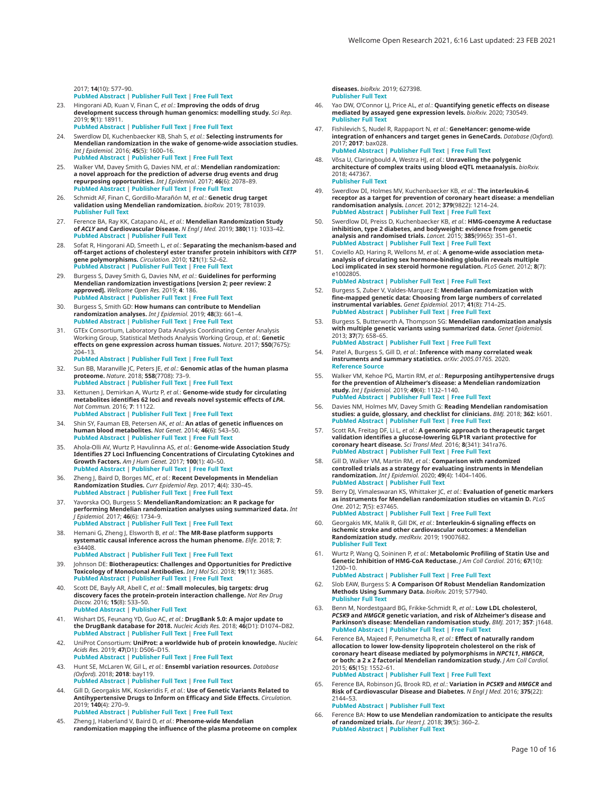<span id="page-9-0"></span>2017; **14**(10): 577–90. **[PubMed Abstract](http://www.ncbi.nlm.nih.gov/pubmed/28569269)** | **[Publisher Full Text](http://dx.doi.org/10.1038/nrcardio.2017.78)** | **[Free Full Text](http://www.ncbi.nlm.nih.gov/pmc/articles/5600813)**

- 23. Hingorani AD, Kuan V, Finan C, *et al.*: **Improving the odds of drug development success through human genomics: modelling study.** *Sci Rep.* 2019; **9**(1): 18911. **[PubMed Abstract](http://www.ncbi.nlm.nih.gov/pubmed/31827124)** | **[Publisher Full Text](http://dx.doi.org/10.1038/s41598-019-54849-w)** | **[Free Full Text](http://www.ncbi.nlm.nih.gov/pmc/articles/6906499)**
- 24. Swerdlow DI, Kuchenbaecker KB, Shah S, *et al.*: **Selecting instruments for Mendelian randomization in the wake of genome-wide association studies.** *Int J Epidemiol.* 2016; **45**(5): 1600–16. **[PubMed Abstract](http://www.ncbi.nlm.nih.gov/pubmed/27342221)** | **[Publisher Full Text](http://dx.doi.org/10.1093/ije/dyw088)** | **[Free Full Text](http://www.ncbi.nlm.nih.gov/pmc/articles/5100611)**
- 25. Walker VM, Davey Smith G, Davies NM, *et al.*: **Mendelian randomization: a novel approach for the prediction of adverse drug events and drug repurposing opportunities.** *Int J Epidemiol.* 2017; **46**(6): 2078–89. **[PubMed Abstract](http://www.ncbi.nlm.nih.gov/pubmed/29040597)** | **[Publisher Full Text](http://dx.doi.org/10.1093/ije/dyx207)** | **[Free Full Text](http://www.ncbi.nlm.nih.gov/pmc/articles/5837479)**
- 26. Schmidt AF, Finan C, Gordillo-Marañón M, *et al.*: **Genetic drug target validation using Mendelian randomization.** *bioRxiv.* 2019; 781039. **[Publisher Full Text](http://dx.doi.org/10.1101/781039)**
- 27. Ference BA, Ray KK, Catapano AL, *et al.*: **Mendelian Randomization Study of** *ACLY* **and Cardiovascular Disease.** *N Engl J Med.* 2019; **380**(11): 1033–42. **[PubMed Abstract](http://www.ncbi.nlm.nih.gov/pubmed/30865797)** | **[Publisher Full Text](http://dx.doi.org/10.1056/NEJMoa1806747)**
- 28. Sofat R, Hingorani AD, Smeeth L, *et al.*: **Separating the mechanism-based and off-target actions of cholesteryl ester transfer protein inhibitors with** *CETP* **gene polymorphisms.** *Circulation.* 2010; **121**(1): 52–62. **[PubMed Abstract](http://www.ncbi.nlm.nih.gov/pubmed/20026784)** | **[Publisher Full Text](http://dx.doi.org/10.1161/CIRCULATIONAHA.109.865444)** | **[Free Full Text](http://www.ncbi.nlm.nih.gov/pmc/articles/2811869)**
- 29. Burgess S, Davey Smith G, Davies NM, *et al.*: **Guidelines for performing Mendelian randomization investigations [version 2; peer review: 2 approved].** *Wellcome Open Res.* 2019; **4**: 186. **[PubMed Abstract](http://www.ncbi.nlm.nih.gov/pubmed/32760811)** | **[Publisher Full Text](http://dx.doi.org/10.12688/wellcomeopenres.15555.2)** | **[Free Full Text](http://www.ncbi.nlm.nih.gov/pmc/articles/7384151)**
- 30. Burgess S, Smith GD: **How humans can contribute to Mendelian randomization analyses.** *Int J Epidemiol.* 2019; **48**(3): 661–4. **[PubMed Abstract](http://www.ncbi.nlm.nih.gov/pubmed/31326987)** | **[Publisher Full Text](http://dx.doi.org/10.1093/ije/dyz152)** | **[Free Full Text](http://www.ncbi.nlm.nih.gov/pmc/articles/6739231)**
- 31. GTEx Consortium, Laboratory Data Analysis Coordinating Center Analysis Working Group, Statistical Methods Analysis Working Group, *et al.*: **Genetic effects on gene expression across human tissues.** *Nature.* 2017; **550**(7675): 204–13. **[PubMed Abstract](http://www.ncbi.nlm.nih.gov/pubmed/29022597)** | **[Publisher Full Text](http://dx.doi.org/10.1038/nature24277)** | **[Free Full Text](http://www.ncbi.nlm.nih.gov/pmc/articles/5776756)**
- 32. Sun BB, Maranville JC, Peters JE, *et al.*: **Genomic atlas of the human plasma proteome.** *Nature.* 2018; **558**(7708): 73–9. **[PubMed Abstract](http://www.ncbi.nlm.nih.gov/pubmed/29875488)** | **[Publisher Full Text](http://dx.doi.org/10.1038/s41586-018-0175-2)** | **[Free Full Text](http://www.ncbi.nlm.nih.gov/pmc/articles/6697541)**
- 33. Kettunen J, Demirkan A, Wurtz P, *et al.*: **Genome-wide study for circulating metabolites identifies 62 loci and reveals novel systemic effects of** *LPA***.** *Nat Commun.* 2016; **7**: 11122. **[PubMed Abstract](http://www.ncbi.nlm.nih.gov/pubmed/27005778)** | **[Publisher Full Text](http://dx.doi.org/10.1038/ncomms11122)** | **[Free Full Text](http://www.ncbi.nlm.nih.gov/pmc/articles/4814583)**
- 34. Shin SY, Fauman EB, Petersen AK, *et al.*: **An atlas of genetic influences on human blood metabolites.** *Nat Genet.* 2014; **46**(6): 543–50. **[PubMed Abstract](http://www.ncbi.nlm.nih.gov/pubmed/24816252)** | **[Publisher Full Text](http://dx.doi.org/10.1038/ng.2982)** | **[Free Full Text](http://www.ncbi.nlm.nih.gov/pmc/articles/4064254)**
- 35. Ahola-Olli AV, Wurtz P, Havulinna AS, *et al.*: **Genome-wide Association Study Identifies 27 Loci Influencing Concentrations of Circulating Cytokines and Growth Factors.** *Am J Hum Genet.* 2017; **100**(1): 40–50. **[PubMed Abstract](http://www.ncbi.nlm.nih.gov/pubmed/27989323)** | **[Publisher Full Text](http://dx.doi.org/10.1016/j.ajhg.2016.11.007)** | **[Free Full Text](http://www.ncbi.nlm.nih.gov/pmc/articles/5223028)**
- 36. Zheng J, Baird D, Borges MC, *et al.*: **Recent Developments in Mendelian Randomization Studies.** *Curr Epidemiol Rep.* 2017; **4**(4): 330–45. **[PubMed Abstract](http://www.ncbi.nlm.nih.gov/pubmed/29226067)** | **[Publisher Full Text](http://dx.doi.org/10.1007/s40471-017-0128-6)** | **[Free Full Text](http://www.ncbi.nlm.nih.gov/pmc/articles/5711966)**
- 37. Yavorska OO, Burgess S: **MendelianRandomization: an R package for performing Mendelian randomization analyses using summarized data.** *Int J Epidemiol.* 2017; **46**(6): 1734–9. **[PubMed Abstract](http://www.ncbi.nlm.nih.gov/pubmed/28398548)** | **[Publisher Full Text](http://dx.doi.org/10.1093/ije/dyx034)** | **[Free Full Text](http://www.ncbi.nlm.nih.gov/pmc/articles/5510723)**
- 38. Hemani G, Zheng J, Elsworth B, *et al.*: **The MR-Base platform supports systematic causal inference across the human phenome.** *Elife.* 2018; **7**: e34408. **[PubMed Abstract](http://www.ncbi.nlm.nih.gov/pubmed/29846171)** | **[Publisher Full Text](http://dx.doi.org/10.7554/eLife.34408)** | **[Free Full Text](http://www.ncbi.nlm.nih.gov/pmc/articles/5976434)**
- 39. Johnson DE: **Biotherapeutics: Challenges and Opportunities for Predictive Toxicology of Monoclonal Antibodies.** *Int J Mol Sci.* 2018; **19**(11): 3685. **[PubMed Abstract](http://www.ncbi.nlm.nih.gov/pubmed/30469350)** | **[Publisher Full Text](http://dx.doi.org/10.3390/ijms19113685)** | **[Free Full Text](http://www.ncbi.nlm.nih.gov/pmc/articles/6274697)**
- 40. Scott DE, Bayly AR, Abell C, *et al.*: **Small molecules, big targets: drug discovery faces the protein-protein interaction challenge.** *Nat Rev Drug Discov.* 2016; **15**(8): 533–50. **[PubMed Abstract](http://www.ncbi.nlm.nih.gov/pubmed/27050677)** | **[Publisher Full Text](http://dx.doi.org/10.1038/nrd.2016.29)**
- 41. Wishart DS, Feunang YD, Guo AC, *et al.*: **DrugBank 5.0: A major update to the DrugBank database for 2018.** *Nucleic Acids Res.* 2018; **46**(D1): D1074–D82. **[PubMed Abstract](http://www.ncbi.nlm.nih.gov/pubmed/29126136)** | **[Publisher Full Text](http://dx.doi.org/10.1093/nar/gkx1037)** | **[Free Full Text](http://www.ncbi.nlm.nih.gov/pmc/articles/5753335)**
- 42. UniProt Consortium: **UniProt: a worldwide hub of protein knowledge.** *Nucleic Acids Res.* 2019; **47**(D1): D506–D15. **[PubMed Abstract](http://www.ncbi.nlm.nih.gov/pubmed/30395287)** | **[Publisher Full Text](http://dx.doi.org/10.1093/nar/gky1049)** | **[Free Full Text](http://www.ncbi.nlm.nih.gov/pmc/articles/6323992)**
- 43. Hunt SE, McLaren W, Gil L, *et al.*: **Ensembl variation resources.** *Database (Oxford).* 2018; **2018**: bay119. **[PubMed Abstract](http://www.ncbi.nlm.nih.gov/pubmed/30576484)** | **[Publisher Full Text](http://dx.doi.org/10.1093/database/bay119)** | **[Free Full Text](http://www.ncbi.nlm.nih.gov/pmc/articles/6310513)**
- 44. Gill D, Georgakis MK, Koskeridis F, *et al.*: **Use of Genetic Variants Related to Antihypertensive Drugs to Inform on Efficacy and Side Effects.** *Circulation.* 2019; **140**(4): 270–9.

**[PubMed Abstract](http://www.ncbi.nlm.nih.gov/pubmed/31234639)** | **[Publisher Full Text](http://dx.doi.org/10.1161/CIRCULATIONAHA.118.038814)** | **[Free Full Text](http://www.ncbi.nlm.nih.gov/pmc/articles/6687408)**

45. Zheng J, Haberland V, Baird D, *et al.*: **Phenome-wide Mendelian randomization mapping the influence of the plasma proteome on complex**  **diseases.** *bioRxiv.* 2019; 627398. **[Publisher Full Text](http://dx.doi.org/10.1101/627398)**

- 46. Yao DW, O'Connor LJ, Price AL, *et al.*: **Quantifying genetic effects on disease mediated by assayed gene expression levels.** *bioRxiv.* 2020; 730549. **[Publisher Full Text](http://dx.doi.org/10.1101/730549)**
- 47. Fishilevich S, Nudel R, Rappaport N, *et al.*: **GeneHancer: genome-wide integration of enhancers and target genes in GeneCards.** *Database (Oxford).* 2017; **2017**: bax028. **[PubMed Abstract](http://www.ncbi.nlm.nih.gov/pubmed/28605766)** | **[Publisher Full Text](http://dx.doi.org/10.1093/database/bax028)** | **[Free Full Text](http://www.ncbi.nlm.nih.gov/pmc/articles/5467550)**
- 48. Võsa U, Claringbould A, Westra HJ, *et al.*: **Unraveling the polygenic architecture of complex traits using blood eQTL metaanalysis.** *bioRxiv.* 2018; 447367. **[Publisher Full Text](http://dx.doi.org/10.1101/447367)**
- 49. Swerdlow DI, Holmes MV, Kuchenbaecker KB, *et al.*: **The interleukin-6**  receptor as a target for prevention of coronary heart disease: a mendelian<br>randomisation analysis. *Lance*t. 2012; 379(9822): 1214–24.<br>[PubMed Abstract](http://www.ncbi.nlm.nih.gov/pubmed/22421340) | [Publisher Full Text](http://dx.doi.org/10.1016/S0140-6736(12)60110-X) | [Free Full Text](http://www.ncbi.nlm.nih.gov/pmc/articles/3316968)
- 50. Swerdlow DI, Preiss D, Kuchenbaecker KB, *et al.*: **HMG-coenzyme A reductase inhibition, type 2 diabetes, and bodyweight: evidence from genetic analysis and randomised trials.** *Lancet.* 2015; **385**(9965): 351–61. **[PubMed Abstract](http://www.ncbi.nlm.nih.gov/pubmed/25262344)** | **[Publisher Full Text](http://dx.doi.org/10.1016/S0140-6736(14)61183-1)** | **[Free Full Text](http://www.ncbi.nlm.nih.gov/pmc/articles/4322187)**
- 51. Coviello AD, Haring R, Wellons M, *et al.*: **A genome-wide association metaanalysis of circulating sex hormone-binding globulin reveals multiple Loci implicated in sex steroid hormone regulation.** *PLoS Genet.* 2012; **8**(7): e1002805.
- **[PubMed Abstract](http://www.ncbi.nlm.nih.gov/pubmed/22829776)** | **[Publisher Full Text](http://dx.doi.org/10.1371/journal.pgen.1002805)** | **[Free Full Text](http://www.ncbi.nlm.nih.gov/pmc/articles/3400553)** 52. Burgess S, Zuber V, Valdes-Marquez E: **Mendelian randomization with fine-mapped genetic data: Choosing from large numbers of correlated instrumental variables.** *Genet Epidemiol.* 2017; **41**(8): 714–25. **[PubMed Abstract](http://www.ncbi.nlm.nih.gov/pubmed/28944551)** | **[Publisher Full Text](http://dx.doi.org/10.1002/gepi.22077)** | **[Free Full Text](http://www.ncbi.nlm.nih.gov/pmc/articles/5725678)**
- 53. Burgess S, Butterworth A, Thompson SG: **Mendelian randomization analysis with multiple genetic variants using summarized data.** *Genet Epidemiol.* 2013; **37**(7): 658–65.
- **[PubMed Abstract](http://www.ncbi.nlm.nih.gov/pubmed/24114802)** | **[Publisher Full Text](http://dx.doi.org/10.1002/gepi.21758)** | **[Free Full Text](http://www.ncbi.nlm.nih.gov/pmc/articles/4377079)** 54. Patel A, Burgess S, Gill D, *et al.*: **Inference with many correlated weak instruments and summary statistics.** *arXiv: 2005.01765.* 2020. **[Reference Source](https://arxiv.org/abs/2005.01765)**
- 55. Walker VM, Kehoe PG, Martin RM, *et al.*: **Repurposing antihypertensive drugs for the prevention of Alzheimer's disease: a Mendelian randomization study.** *Int J Epidemiol.* 2019; **49**(4): 1132–1140. **[PubMed Abstract](http://www.ncbi.nlm.nih.gov/pubmed/31335937)** | **[Publisher Full Text](http://dx.doi.org/10.1093/ije/dyz155)** | **[Free Full Text](http://www.ncbi.nlm.nih.gov/pmc/articles/7751008)**
- 56. Davies NM, Holmes MV, Davey Smith G: **Reading Mendelian randomisation studies: a guide, glossary, and checklist for clinicians.** *BMJ.* 2018; **362**: k601. **[PubMed Abstract](http://www.ncbi.nlm.nih.gov/pubmed/30002074)** | **[Publisher Full Text](http://dx.doi.org/10.1136/bmj.k601)** | **[Free Full Text](http://www.ncbi.nlm.nih.gov/pmc/articles/6041728)**
- 57. Scott RA, Freitag DF, Li L, *et al.*: **A genomic approach to therapeutic target validation identifies a glucose-lowering GLP1R variant protective for coronary heart disease.** *Sci Transl Med.* 2016; **8**(341): 341ra76. **[PubMed Abstract](http://www.ncbi.nlm.nih.gov/pubmed/27252175)** | **[Publisher Full Text](http://dx.doi.org/10.1126/scitranslmed.aad3744)** | **[Free Full Text](http://www.ncbi.nlm.nih.gov/pmc/articles/5219001)**
- 58. Gill D, Walker VM, Martin RM, *et al.*: **Comparison with randomized controlled trials as a strategy for evaluating instruments in Mendelian randomization.** *Int J Epidemiol.* 2020; **49**(4): 1404–1406. **[PubMed Abstract](http://www.ncbi.nlm.nih.gov/pubmed/31764983)** | **[Publisher Full Text](http://dx.doi.org/10.1093/ije/dyz236)**
- 59. Berry DJ, Vimaleswaran KS, Whittaker JC, *et al.*: **Evaluation of genetic markers as instruments for Mendelian randomization studies on vitamin D.** *PLoS One.* 2012; **7**(5): e37465. **[PubMed Abstract](http://www.ncbi.nlm.nih.gov/pubmed/22629401)** | **[Publisher Full Text](http://dx.doi.org/10.1371/journal.pone.0037465)** | **[Free Full Text](http://www.ncbi.nlm.nih.gov/pmc/articles/3357436)**
- Georgakis MK, Malik R, Gill DK, et al.: **Interleukin-6 signaling effects on ischemic stroke and other cardiovascular outcomes: a Mendelian Randomization study.** *medRxiv.* 2019; 19007682. **[Publisher Full Text](http://dx.doi.org/10.1101/19007682)**
- 61. Wurtz P, Wang Q, Soininen P, *et al.*: **Metabolomic Profiling of Statin Use and Genetic Inhibition of HMG-CoA Reductase.** *J Am Coll Cardiol.* 2016; **67**(10): 1200–10.

**[PubMed Abstract](http://www.ncbi.nlm.nih.gov/pubmed/26965542)** | **[Publisher Full Text](http://dx.doi.org/10.1016/j.jacc.2015.12.060)** | **[Free Full Text](http://www.ncbi.nlm.nih.gov/pmc/articles/4783625)**

- 62. Slob EAW, Burgess S: **A Comparison Of Robust Mendelian Randomization Methods Using Summary Data.** *bioRxiv.* 2019; 577940. **[Publisher Full Text](http://dx.doi.org/10.1101/577940)**
- 63. Benn M, Nordestgaard BG, Frikke-Schmidt R, *et al.*: **Low LDL cholesterol,**  *PCSK9* **and** *HMGCR* **genetic variation, and risk of Alzheimer's disease and Parkinson's disease: Mendelian randomisation study.** *BMJ.* 2017; **357**: j1648. **[PubMed Abstract](http://www.ncbi.nlm.nih.gov/pubmed/28438747)** | **[Publisher Full Text](http://dx.doi.org/10.1136/bmj.j1648)** | **[Free Full Text](http://www.ncbi.nlm.nih.gov/pmc/articles/5421439)**
- 64. Ference BA, Majeed F, Penumetcha R, *et al.*: **Effect of naturally random allocation to lower low-density lipoprotein cholesterol on the risk of coronary heart disease mediated by polymorphisms in** *NPC1L1***,** *HMGCR***, or both: a 2 x 2 factorial Mendelian randomization study.** *J Am Coll Cardiol.* 2015; **65**(15): 1552–61. **[PubMed Abstract](http://www.ncbi.nlm.nih.gov/pubmed/25770315)** | **[Publisher Full Text](http://dx.doi.org/10.1016/j.jacc.2015.02.020)** | **[Free Full Text](http://www.ncbi.nlm.nih.gov/pmc/articles/6101243)**
- 65. Ference BA, Robinson JG, Brook RD, *et al.*: **Variation in** *PCSK9* **and** *HMGCR* **and Risk of Cardiovascular Disease and Diabetes.** *N Engl J Med.* 2016; **375**(22): 2144–53. **[PubMed Abstract](http://www.ncbi.nlm.nih.gov/pubmed/27959767)** | **[Publisher Full Text](http://dx.doi.org/10.1056/NEJMoa1604304)**
- 66. Ference BA: **How to use Mendelian randomization to anticipate the results of randomized trials.** *Eur Heart J.* 2018; **39**(5): 360–2. **[PubMed Abstract](http://www.ncbi.nlm.nih.gov/pubmed/29020392)** | **[Publisher Full Text](http://dx.doi.org/10.1093/eurheartj/ehx462)**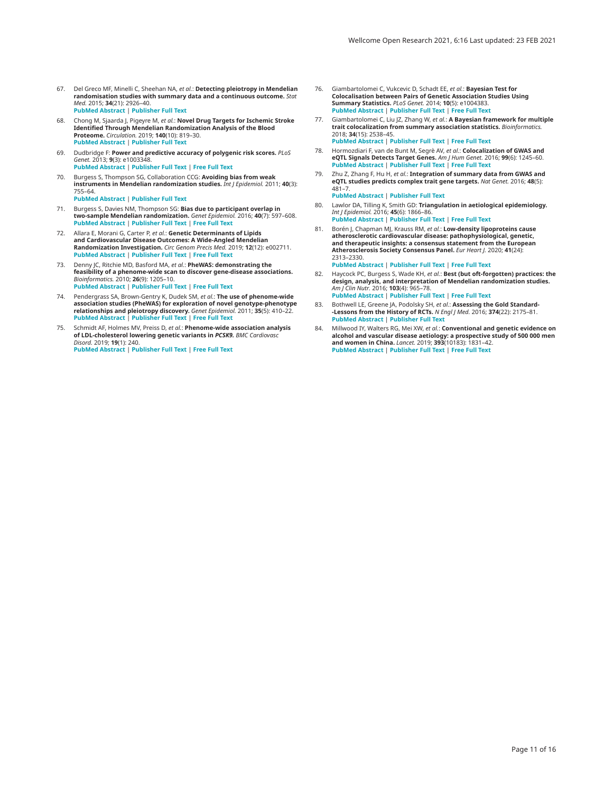- <span id="page-10-0"></span>67. Del Greco MF, Minelli C, Sheehan NA, *et al.*: **Detecting pleiotropy in Mendelian randomisation studies with summary data and a continuous outcome.** *Stat Med.* 2015; **34**(21): 2926–40. **[PubMed Abstract](http://www.ncbi.nlm.nih.gov/pubmed/25950993)** | **[Publisher Full Text](http://dx.doi.org/10.1002/sim.6522)**
- 68. Chong M, Sjaarda J, Pigeyre M, *et al.*: **Novel Drug Targets for Ischemic Stroke Identified Through Mendelian Randomization Analysis of the Blood Proteome.** *Circulation.* 2019; **140**(10): 819–30. **[PubMed Abstract](http://www.ncbi.nlm.nih.gov/pubmed/31208196)** | **[Publisher Full Text](http://dx.doi.org/10.1161/CIRCULATIONAHA.119.040180)**
- 69. Dudbridge F: **Power and predictive accuracy of polygenic risk scores.** *PLoS Genet.* 2013; **9**(3): e1003348. **[PubMed Abstract](http://www.ncbi.nlm.nih.gov/pubmed/23555274)** | **[Publisher Full Text](http://dx.doi.org/10.1371/journal.pgen.1003348)** | **[Free Full Text](http://www.ncbi.nlm.nih.gov/pmc/articles/3605113)**
- 70. Burgess S, Thompson SG, Collaboration CCG: **Avoiding bias from weak instruments in Mendelian randomization studies.** *Int J Epidemiol.* 2011; **40**(3): 755–64.

**[PubMed Abstract](http://www.ncbi.nlm.nih.gov/pubmed/21414999)** | **[Publisher Full Text](http://dx.doi.org/10.1093/ije/dyr036)**

- 71. Burgess S, Davies NM, Thompson SG: **Bias due to participant overlap in two-sample Mendelian randomization.** *Genet Epidemiol.* 2016; **40**(7): 597–608. **[PubMed Abstract](http://www.ncbi.nlm.nih.gov/pubmed/27625185)** | **[Publisher Full Text](http://dx.doi.org/10.1002/gepi.21998)** | **[Free Full Text](http://www.ncbi.nlm.nih.gov/pmc/articles/5082560)**
- 72. Allara E, Morani G, Carter P, *et al.*: **Genetic Determinants of Lipids and Cardiovascular Disease Outcomes: A Wide-Angled Mendelian Randomization Investigation.** *Circ Genom Precis Med.* 2019; **12**(12): e002711. **[PubMed Abstract](http://www.ncbi.nlm.nih.gov/pubmed/31756303)** | **[Publisher Full Text](http://dx.doi.org/10.1161/CIRCGEN.119.002711)** | **[Free Full Text](http://www.ncbi.nlm.nih.gov/pmc/articles/6922071)**
- 73. Denny JC, Ritchie MD, Basford MA, *et al.*: **PheWAS: demonstrating the feasibility of a phenome-wide scan to discover gene-disease associations.** *Bioinformatics.* 2010; **26**(9): 1205–10. **[PubMed Abstract](http://www.ncbi.nlm.nih.gov/pubmed/20335276)** | **[Publisher Full Text](http://dx.doi.org/10.1093/bioinformatics/btq126)** | **[Free Full Text](http://www.ncbi.nlm.nih.gov/pmc/articles/2859132)**
- 74. Pendergrass SA, Brown-Gentry K, Dudek SM, *et al.*: **The use of phenome-wide association studies (PheWAS) for exploration of novel genotype-phenotype relationships and pleiotropy discovery.** *Genet Epidemiol.* 2011; **35**(5): 410–22. **[PubMed Abstract](http://www.ncbi.nlm.nih.gov/pubmed/21594894)** | **[Publisher Full Text](http://dx.doi.org/10.1002/gepi.20589)** | **[Free Full Text](http://www.ncbi.nlm.nih.gov/pmc/articles/3116446)**
- 75. Schmidt AF, Holmes MV, Preiss D, *et al.*: **Phenome-wide association analysis of LDL-cholesterol lowering genetic variants in** *PCSK9. BMC Cardiovasc Disord.* 2019; **19**(1): 240. **[PubMed Abstract](http://www.ncbi.nlm.nih.gov/pubmed/31664920)** | **[Publisher Full Text](http://dx.doi.org/10.1186/s12872-019-1187-z)** | **[Free Full Text](http://www.ncbi.nlm.nih.gov/pmc/articles/6820948)**
- 76. Giambartolomei C, Vukcevic D, Schadt EE, *et al.*: **Bayesian Test for Colocalisation between Pairs of Genetic Association Studies Using Summary Statistics.** *PLoS Genet.* 2014; **10**(5): e1004383. **[PubMed Abstract](http://www.ncbi.nlm.nih.gov/pubmed/24830394)** | **[Publisher Full Text](http://dx.doi.org/10.1371/journal.pgen.1004383)** | **[Free Full Text](http://www.ncbi.nlm.nih.gov/pmc/articles/4022491)**
- 77. Giambartolomei C, Liu JZ, Zhang W, *et al.*: **A Bayesian framework for multiple trait colocalization from summary association statistics.** *Bioinformatics.* 2018; **34**(15): 2538–45. **[PubMed Abstract](http://www.ncbi.nlm.nih.gov/pubmed/29579179)** | **[Publisher Full Text](http://dx.doi.org/10.1093/bioinformatics/bty147)** | **[Free Full Text](http://www.ncbi.nlm.nih.gov/pmc/articles/6061859)**
- 78. Hormozdiari F, van de Bunt M, Segrè AV, *et al.*: **Colocalization of GWAS and eQTL Signals Detects Target Genes.** *Am J Hum Genet.* 2016; **99**(6): 1245–60. **[PubMed Abstract](http://www.ncbi.nlm.nih.gov/pubmed/27866706)** | **[Publisher Full Text](http://dx.doi.org/10.1016/j.ajhg.2016.10.003)** | **[Free Full Text](http://www.ncbi.nlm.nih.gov/pmc/articles/5142122)**
- Zhu Z, Zhang F, Hu H, *et al.*: **Integration of summary data from GWAS and eQTL studies predicts complex trait gene targets.** *Nat Genet.* 2016; **48**(5): 481–7. **[PubMed Abstract](http://www.ncbi.nlm.nih.gov/pubmed/27019110)** | **[Publisher Full Text](http://dx.doi.org/10.1038/ng.3538)**
- 80. Lawlor DA, Tilling K, Smith GD: **Triangulation in aetiological epidemiology.** *Int J Epidemiol.* 2016; **45**(6): 1866–86. **[PubMed Abstract](http://www.ncbi.nlm.nih.gov/pubmed/28108528)** | **[Publisher Full Text](http://dx.doi.org/10.1093/ije/dyw314)** | **[Free Full Text](http://www.ncbi.nlm.nih.gov/pmc/articles/5841843)**
- 81. Borén J, Chapman MJ, Krauss RM, *et al.*: **Low-density lipoproteins cause atherosclerotic cardiovascular disease: pathophysiological, genetic, and therapeutic insights: a consensus statement from the European Atherosclerosis Society Consensus Panel.** *Eur Heart J.* 2020; **41**(24): 2313–2330.

**[PubMed Abstract](http://www.ncbi.nlm.nih.gov/pubmed/32052833)** | **[Publisher Full Text](http://dx.doi.org/10.1093/eurheartj/ehz962)** | **[Free Full Text](http://www.ncbi.nlm.nih.gov/pmc/articles/7308544)**

- 82. Haycock PC, Burgess S, Wade KH, *et al.*: **Best (but oft-forgotten) practices: the design, analysis, and interpretation of Mendelian randomization studies.** *Am J Clin Nutr.* 2016; **103**(4): 965–78. **[PubMed Abstract](http://www.ncbi.nlm.nih.gov/pubmed/26961927)** | **[Publisher Full Text](http://dx.doi.org/10.3945/ajcn.115.118216)** | **[Free Full Text](http://www.ncbi.nlm.nih.gov/pmc/articles/4807699)**
- 83. Bothwell LE, Greene JA, Podolsky SH, *et al.*: **Assessing the Gold Standard- -Lessons from the History of RCTs.** *N Engl J Med.* 2016; **374**(22): 2175–81. **[PubMed Abstract](http://www.ncbi.nlm.nih.gov/pubmed/27248626)** | **[Publisher Full Text](http://dx.doi.org/10.1056/NEJMms1604593)**
- 84. Millwood IY, Walters RG, Mei XW, *et al.*: **Conventional and genetic evidence on alcohol and vascular disease aetiology: a prospective study of 500 000 men and women in China.** *Lancet.* 2019; **393**(10183): 1831–42. **[PubMed Abstract](http://www.ncbi.nlm.nih.gov/pubmed/30955975)** | **[Publisher Full Text](http://dx.doi.org/10.1016/S0140-6736(18)31772-0)** | **[Free Full Text](http://www.ncbi.nlm.nih.gov/pmc/articles/6497989)**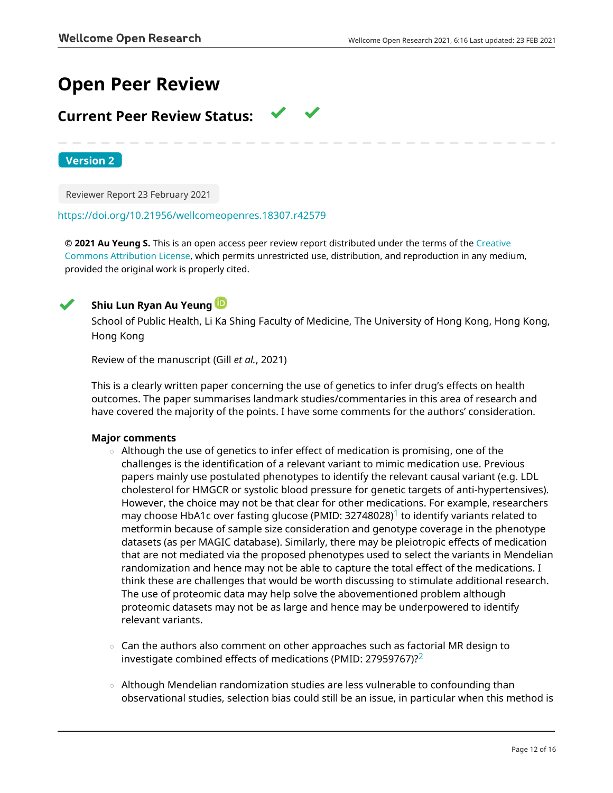# **Open Peer Review**

# **Current Peer Review Status:**

**Version 2**

Reviewer Report 23 February 2021

### <https://doi.org/10.21956/wellcomeopenres.18307.r42579>

**© 2021 Au Yeung S.** This is an open access peer review report distributed under the terms of the [Creative](https://creativecommons.org/licenses/by/4.0/) [Commons Attribution License](https://creativecommons.org/licenses/by/4.0/), which permits unrestricted use, distribution, and reproduction in any medium, provided the original work is properly cited.



# **Shiu Lun Ryan Au Yeung**

School of Public Health, Li Ka Shing Faculty of Medicine, The University of Hong Kong, Hong Kong, Hong Kong

Review of the manuscript (Gill *et al.*, 2021)

This is a clearly written paper concerning the use of genetics to infer drug's effects on health outcomes. The paper summarises landmark studies/commentaries in this area of research and have covered the majority of the points. I have some comments for the authors' consideration.

# **Major comments**

- $\,\circ\,$  Although the use of genetics to infer effect of medication is promising, one of the challenges is the identification of a relevant variant to mimic medication use. Previous papers mainly use postulated phenotypes to identify the relevant causal variant (e.g. LDL cholesterol for HMGCR or systolic blood pressure for genetic targets of anti-hypertensives). However, the choice may not be that clear for other medications. For example, researchers may choose HbA[1](jar:file:/work/f1000research/webapps/ROOT/WEB-INF/lib/service-1.0-SNAPSHOT.jar!/com/f1000research/service/export/pdf/#rep-ref-42579-1)c over fasting glucose (PMID:  $32748028$ )<sup>1</sup> to identify variants related to metformin because of sample size consideration and genotype coverage in the phenotype datasets (as per MAGIC database). Similarly, there may be pleiotropic effects of medication that are not mediated via the proposed phenotypes used to select the variants in Mendelian randomization and hence may not be able to capture the total effect of the medications. I think these are challenges that would be worth discussing to stimulate additional research. The use of proteomic data may help solve the abovementioned problem although proteomic datasets may not be as large and hence may be underpowered to identify relevant variants.
- $\circ~$  Can the authors also comment on other approaches such as factorial MR design to investigate combined effects of medications (PMID: [2](jar:file:/work/f1000research/webapps/ROOT/WEB-INF/lib/service-1.0-SNAPSHOT.jar!/com/f1000research/service/export/pdf/#rep-ref-42579-2)7959767)? $2$
- $\,\circ\,$  Although Mendelian randomization studies are less vulnerable to confounding than observational studies, selection bias could still be an issue, in particular when this method is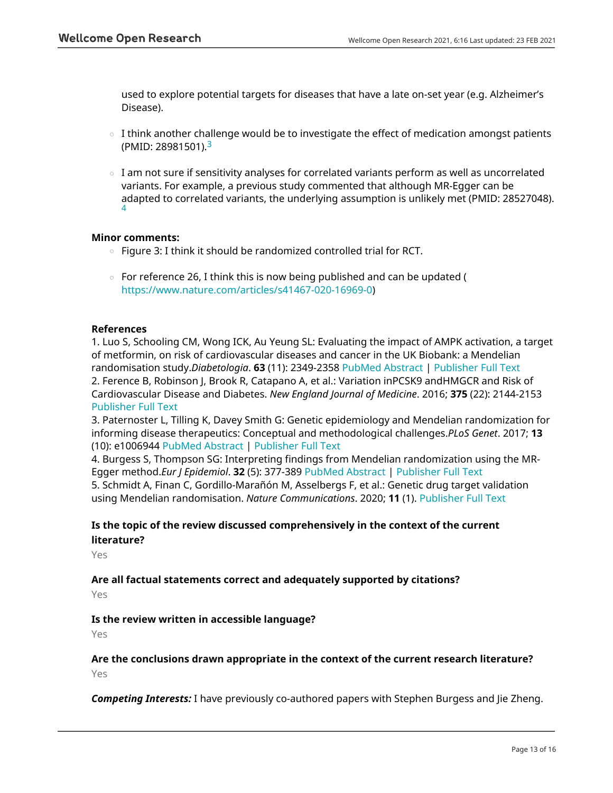used to explore potential targets for diseases that have a late on-set year (e.g. Alzheimer's Disease).

- $\circ$  I think another challenge would be to investigate the effect of medication amongst patients (PMID: 28981501).[3](jar:file:/work/f1000research/webapps/ROOT/WEB-INF/lib/service-1.0-SNAPSHOT.jar!/com/f1000research/service/export/pdf/#rep-ref-42579-3)
- $\circ$   $\,$  I am not sure if sensitivity analyses for correlated variants perform as well as uncorrelated variants. For example, a previous study commented that although MR-Egger can be adapted to correlated variants, the underlying assumption is unlikely met (PMID: 28527048). [4](jar:file:/work/f1000research/webapps/ROOT/WEB-INF/lib/service-1.0-SNAPSHOT.jar!/com/f1000research/service/export/pdf/#rep-ref-42579-4)

# **Minor comments:**

- Figure 3: I think it should be randomized controlled trial for RCT.
- $\,\circ\,$  For reference 26, I think this is now being published and can be updated ( <https://www.nature.com/articles/s41467-020-16969-0>)

## **References**

1. Luo S, Schooling CM, Wong ICK, Au Yeung SL: Evaluating the impact of AMPK activation, a target of metformin, on risk of cardiovascular diseases and cancer in the UK Biobank: a Mendelian randomisation study.*Diabetologia*. **63** (11): 2349-2358 [PubMed Abstract](http://www.ncbi.nlm.nih.gov/pubmed/32748028) | [Publisher Full Text](https://doi.org/10.1007/s00125-020-05243-z) 2. Ference B, Robinson J, Brook R, Catapano A, et al.: Variation inPCSK9 andHMGCR and Risk of Cardiovascular Disease and Diabetes. *New England Journal of Medicine*. 2016; **375** (22): 2144-2153 [Publisher Full Text](https://doi.org/10.1056/NEJMoa1604304)

3. Paternoster L, Tilling K, Davey Smith G: Genetic epidemiology and Mendelian randomization for informing disease therapeutics: Conceptual and methodological challenges.*PLoS Genet*. 2017; **13** (10): e1006944 [PubMed Abstract](http://www.ncbi.nlm.nih.gov/pubmed/28981501) | [Publisher Full Text](https://doi.org/10.1371/journal.pgen.1006944)

4. Burgess S, Thompson SG: Interpreting findings from Mendelian randomization using the MR-Egger method.*Eur J Epidemiol*. **32** (5): 377-389 [PubMed Abstract](http://www.ncbi.nlm.nih.gov/pubmed/28527048) | [Publisher Full Text](https://doi.org/10.1007/s10654-017-0255-x)

5. Schmidt A, Finan C, Gordillo-Marañón M, Asselbergs F, et al.: Genetic drug target validation using Mendelian randomisation. *Nature Communications*. 2020; **11** (1). [Publisher Full Text](https://doi.org/10.1038/s41467-020-16969-0)

# **Is the topic of the review discussed comprehensively in the context of the current literature?**

Yes

## **Are all factual statements correct and adequately supported by citations?** Yes

# **Is the review written in accessible language?**

Yes

**Are the conclusions drawn appropriate in the context of the current research literature?** Yes

*Competing Interests:* I have previously co-authored papers with Stephen Burgess and Jie Zheng.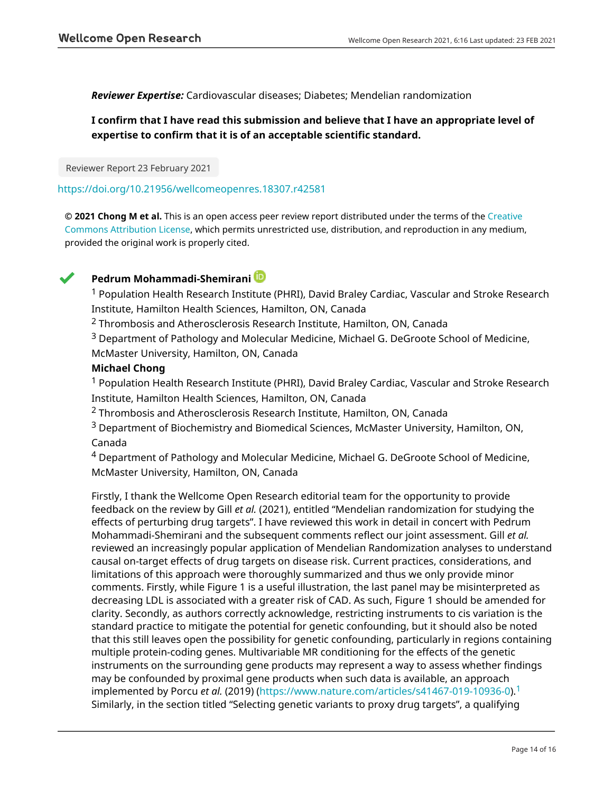## *Reviewer Expertise:* Cardiovascular diseases; Diabetes; Mendelian randomization

# **I confirm that I have read this submission and believe that I have an appropriate level of expertise to confirm that it is of an acceptable scientific standard.**

Reviewer Report 23 February 2021

### <https://doi.org/10.21956/wellcomeopenres.18307.r42581>

**© 2021 Chong M et al.** This is an open access peer review report distributed under the terms of the [Creative](https://creativecommons.org/licenses/by/4.0/) [Commons Attribution License](https://creativecommons.org/licenses/by/4.0/), which permits unrestricted use, distribution, and reproduction in any medium, provided the original work is properly cited.



# **Pedrum Mohammadi-Shemirani**

<sup>1</sup> Population Health Research Institute (PHRI), David Braley Cardiac, Vascular and Stroke Research Institute, Hamilton Health Sciences, Hamilton, ON, Canada

<sup>2</sup> Thrombosis and Atherosclerosis Research Institute, Hamilton, ON, Canada

<sup>3</sup> Department of Pathology and Molecular Medicine, Michael G. DeGroote School of Medicine, McMaster University, Hamilton, ON, Canada

# **Michael Chong**

 $1$  Population Health Research Institute (PHRI), David Braley Cardiac, Vascular and Stroke Research Institute, Hamilton Health Sciences, Hamilton, ON, Canada

<sup>2</sup> Thrombosis and Atherosclerosis Research Institute, Hamilton, ON, Canada

 $3$  Department of Biochemistry and Biomedical Sciences, McMaster University, Hamilton, ON, Canada

 $^4$  Department of Pathology and Molecular Medicine, Michael G. DeGroote School of Medicine, McMaster University, Hamilton, ON, Canada

Firstly, I thank the Wellcome Open Research editorial team for the opportunity to provide feedback on the review by Gill *et al.* (2021), entitled "Mendelian randomization for studying the effects of perturbing drug targets". I have reviewed this work in detail in concert with Pedrum Mohammadi-Shemirani and the subsequent comments reflect our joint assessment. Gill *et al.* reviewed an increasingly popular application of Mendelian Randomization analyses to understand causal on-target effects of drug targets on disease risk. Current practices, considerations, and limitations of this approach were thoroughly summarized and thus we only provide minor comments. Firstly, while Figure 1 is a useful illustration, the last panel may be misinterpreted as decreasing LDL is associated with a greater risk of CAD. As such, Figure 1 should be amended for clarity. Secondly, as authors correctly acknowledge, restricting instruments to cis variation is the standard practice to mitigate the potential for genetic confounding, but it should also be noted that this still leaves open the possibility for genetic confounding, particularly in regions containing multiple protein-coding genes. Multivariable MR conditioning for the effects of the genetic instruments on the surrounding gene products may represent a way to assess whether findings may be confounded by proximal gene products when such data is available, an approach implemented by Porcu *et al.* (2019) [\(https://www.nature.com/articles/s41467-019-10936-0\)](https://www.nature.com/articles/s41467-019-10936-0).[1](jar:file:/work/f1000research/webapps/ROOT/WEB-INF/lib/service-1.0-SNAPSHOT.jar!/com/f1000research/service/export/pdf/#rep-ref-42581-1) Similarly, in the section titled "Selecting genetic variants to proxy drug targets", a qualifying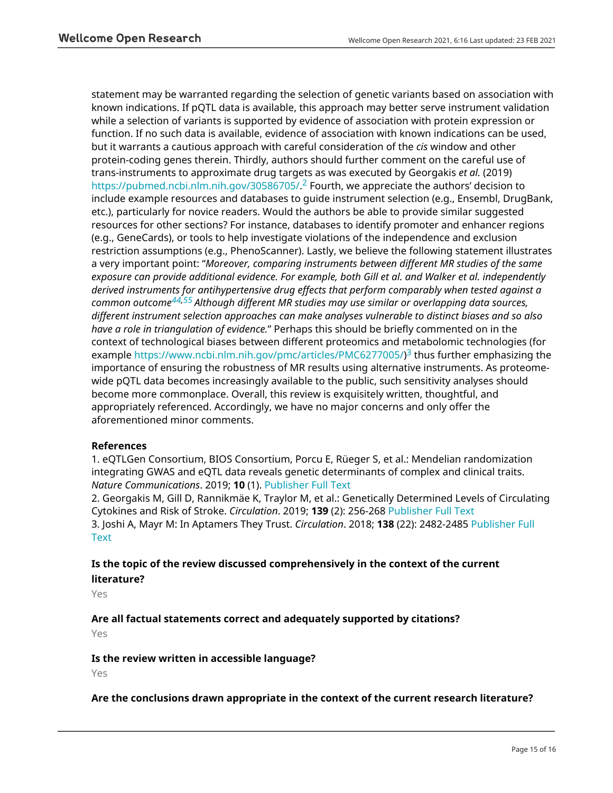statement may be warranted regarding the selection of genetic variants based on association with known indications. If pQTL data is available, this approach may better serve instrument validation while a selection of variants is supported by evidence of association with protein expression or function. If no such data is available, evidence of association with known indications can be used, but it warrants a cautious approach with careful consideration of the *cis* window and other protein-coding genes therein. Thirdly, authors should further comment on the careful use of trans-instruments to approximate drug targets as was executed by Georgakis *et al.* (2019) <https://pubmed.ncbi.nlm.nih.gov/30586705/>.<sup>[2](jar:file:/work/f1000research/webapps/ROOT/WEB-INF/lib/service-1.0-SNAPSHOT.jar!/com/f1000research/service/export/pdf/#rep-ref-42581-2)</sup> Fourth, we appreciate the authors' decision to include example resources and databases to guide instrument selection (e.g., Ensembl, DrugBank, etc.), particularly for novice readers. Would the authors be able to provide similar suggested resources for other sections? For instance, databases to identify promoter and enhancer regions (e.g., GeneCards), or tools to help investigate violations of the independence and exclusion restriction assumptions (e.g., PhenoScanner). Lastly, we believe the following statement illustrates a very important point: "*Moreover, comparing instruments between different MR studies of the same exposure can provide additional evidence. For example, both Gill et al. and Walker et al. independently derived instruments for antihypertensive drug effects that perform comparably when tested against a common outcome[44,](https://wellcomeopenresearch.org/my/referee/report/42581#ref-44)[55](https://wellcomeopenresearch.org/my/referee/report/42581#ref-55) Although different MR studies may use similar or overlapping data sources, different instrument selection approaches can make analyses vulnerable to distinct biases and so also have a role in triangulation of evidence.*" Perhaps this should be briefly commented on in the context of technological biases between different proteomics and metabolomic technologies (for example<https://www.ncbi.nlm.nih.gov/pmc/articles/PMC6277005/>)<sup>[3](jar:file:/work/f1000research/webapps/ROOT/WEB-INF/lib/service-1.0-SNAPSHOT.jar!/com/f1000research/service/export/pdf/#rep-ref-42581-3)</sup> thus further emphasizing the importance of ensuring the robustness of MR results using alternative instruments. As proteomewide pQTL data becomes increasingly available to the public, such sensitivity analyses should become more commonplace. Overall, this review is exquisitely written, thoughtful, and appropriately referenced. Accordingly, we have no major concerns and only offer the aforementioned minor comments.

# **References**

1. eQTLGen Consortium, BIOS Consortium, Porcu E, Rüeger S, et al.: Mendelian randomization integrating GWAS and eQTL data reveals genetic determinants of complex and clinical traits. *Nature Communications*. 2019; **10** (1). [Publisher Full Text](https://doi.org/10.1038/s41467-019-10936-0)

2. Georgakis M, Gill D, Rannikmäe K, Traylor M, et al.: Genetically Determined Levels of Circulating Cytokines and Risk of Stroke. *Circulation*. 2019; **139** (2): 256-268 [Publisher Full Text](https://doi.org/10.1161/CIRCULATIONAHA.118.035905) 3. Joshi A, Mayr M: In Aptamers They Trust. *Circulation*. 2018; **138** (22): 2482-2485 [Publisher Full](https://doi.org/10.1161/CIRCULATIONAHA.118.036823) **[Text](https://doi.org/10.1161/CIRCULATIONAHA.118.036823)** 

# **Is the topic of the review discussed comprehensively in the context of the current literature?**

Yes

# **Are all factual statements correct and adequately supported by citations?**

Yes

# **Is the review written in accessible language?**

Yes

### **Are the conclusions drawn appropriate in the context of the current research literature?**